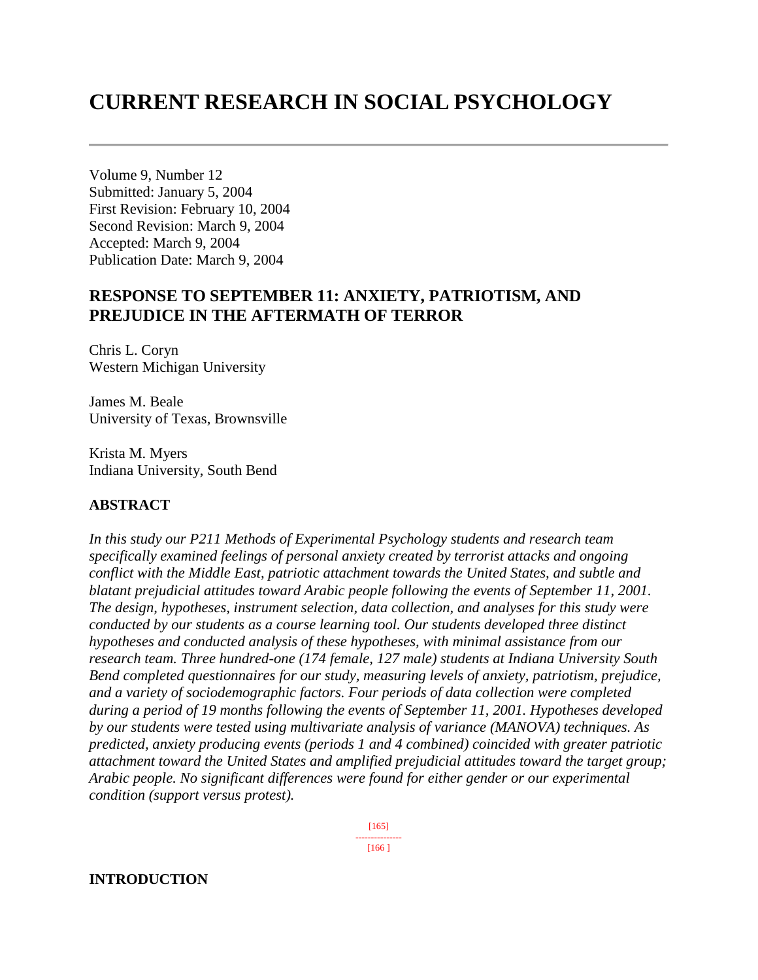# **CURRENT RESEARCH IN SOCIAL PSYCHOLOGY**

Volume 9, Number 12 Submitted: January 5, 2004 First Revision: February 10, 2004 Second Revision: March 9, 2004 Accepted: March 9, 2004 Publication Date: March 9, 2004

### **RESPONSE TO SEPTEMBER 11: ANXIETY, PATRIOTISM, AND PREJUDICE IN THE AFTERMATH OF TERROR**

Chris L. Coryn Western Michigan University

James M. Beale University of Texas, Brownsville

Krista M. Myers Indiana University, South Bend

#### **ABSTRACT**

*In this study our P211 Methods of Experimental Psychology students and research team specifically examined feelings of personal anxiety created by terrorist attacks and ongoing conflict with the Middle East, patriotic attachment towards the United States, and subtle and blatant prejudicial attitudes toward Arabic people following the events of September 11, 2001. The design, hypotheses, instrument selection, data collection, and analyses for this study were conducted by our students as a course learning tool. Our students developed three distinct hypotheses and conducted analysis of these hypotheses, with minimal assistance from our research team. Three hundred-one (174 female, 127 male) students at Indiana University South Bend completed questionnaires for our study, measuring levels of anxiety, patriotism, prejudice, and a variety of sociodemographic factors. Four periods of data collection were completed during a period of 19 months following the events of September 11, 2001. Hypotheses developed by our students were tested using multivariate analysis of variance (MANOVA) techniques. As predicted, anxiety producing events (periods 1 and 4 combined) coincided with greater patriotic attachment toward the United States and amplified prejudicial attitudes toward the target group; Arabic people. No significant differences were found for either gender or our experimental condition (support versus protest).* 

> [165] --------------- [166 ]

#### **INTRODUCTION**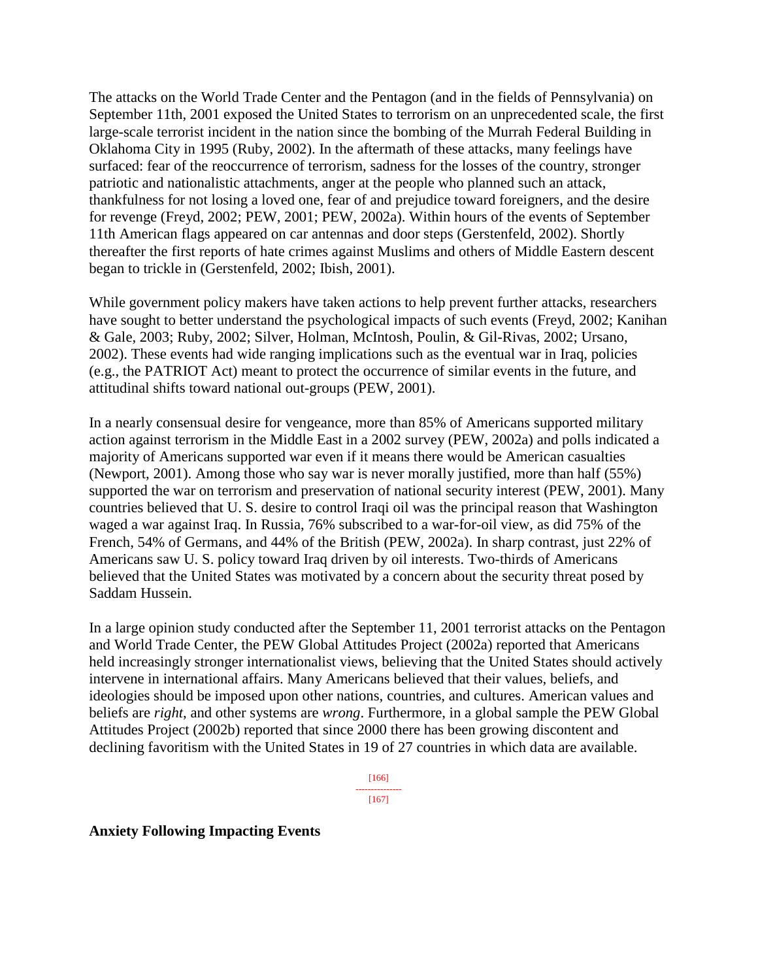The attacks on the World Trade Center and the Pentagon (and in the fields of Pennsylvania) on September 11th, 2001 exposed the United States to terrorism on an unprecedented scale, the first large-scale terrorist incident in the nation since the bombing of the Murrah Federal Building in Oklahoma City in 1995 (Ruby, 2002). In the aftermath of these attacks, many feelings have surfaced: fear of the reoccurrence of terrorism, sadness for the losses of the country, stronger patriotic and nationalistic attachments, anger at the people who planned such an attack, thankfulness for not losing a loved one, fear of and prejudice toward foreigners, and the desire for revenge (Freyd, 2002; PEW, 2001; PEW, 2002a). Within hours of the events of September 11th American flags appeared on car antennas and door steps (Gerstenfeld, 2002). Shortly thereafter the first reports of hate crimes against Muslims and others of Middle Eastern descent began to trickle in (Gerstenfeld, 2002; Ibish, 2001).

While government policy makers have taken actions to help prevent further attacks, researchers have sought to better understand the psychological impacts of such events (Freyd, 2002; Kanihan & Gale, 2003; Ruby, 2002; Silver, Holman, McIntosh, Poulin, & Gil-Rivas, 2002; Ursano, 2002). These events had wide ranging implications such as the eventual war in Iraq, policies (e.g., the PATRIOT Act) meant to protect the occurrence of similar events in the future, and attitudinal shifts toward national out-groups (PEW, 2001).

In a nearly consensual desire for vengeance, more than 85% of Americans supported military action against terrorism in the Middle East in a 2002 survey (PEW, 2002a) and polls indicated a majority of Americans supported war even if it means there would be American casualties (Newport, 2001). Among those who say war is never morally justified, more than half (55%) supported the war on terrorism and preservation of national security interest (PEW, 2001). Many countries believed that U. S. desire to control Iraqi oil was the principal reason that Washington waged a war against Iraq. In Russia, 76% subscribed to a war-for-oil view, as did 75% of the French, 54% of Germans, and 44% of the British (PEW, 2002a). In sharp contrast, just 22% of Americans saw U. S. policy toward Iraq driven by oil interests. Two-thirds of Americans believed that the United States was motivated by a concern about the security threat posed by Saddam Hussein.

In a large opinion study conducted after the September 11, 2001 terrorist attacks on the Pentagon and World Trade Center, the PEW Global Attitudes Project (2002a) reported that Americans held increasingly stronger internationalist views, believing that the United States should actively intervene in international affairs. Many Americans believed that their values, beliefs, and ideologies should be imposed upon other nations, countries, and cultures. American values and beliefs are *right*, and other systems are *wrong*. Furthermore, in a global sample the PEW Global Attitudes Project (2002b) reported that since 2000 there has been growing discontent and declining favoritism with the United States in 19 of 27 countries in which data are available.

> [166] --------------- [167]

**Anxiety Following Impacting Events**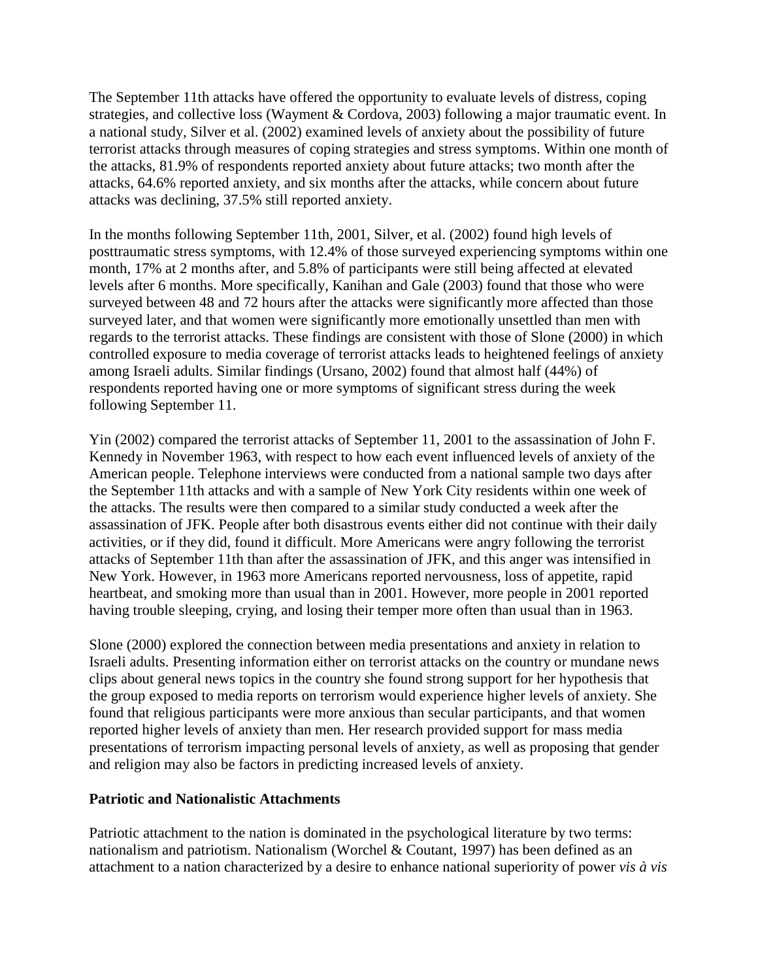The September 11th attacks have offered the opportunity to evaluate levels of distress, coping strategies, and collective loss (Wayment & Cordova, 2003) following a major traumatic event. In a national study, Silver et al. (2002) examined levels of anxiety about the possibility of future terrorist attacks through measures of coping strategies and stress symptoms. Within one month of the attacks, 81.9% of respondents reported anxiety about future attacks; two month after the attacks, 64.6% reported anxiety, and six months after the attacks, while concern about future attacks was declining, 37.5% still reported anxiety.

In the months following September 11th, 2001, Silver, et al. (2002) found high levels of posttraumatic stress symptoms, with 12.4% of those surveyed experiencing symptoms within one month, 17% at 2 months after, and 5.8% of participants were still being affected at elevated levels after 6 months. More specifically, Kanihan and Gale (2003) found that those who were surveyed between 48 and 72 hours after the attacks were significantly more affected than those surveyed later, and that women were significantly more emotionally unsettled than men with regards to the terrorist attacks. These findings are consistent with those of Slone (2000) in which controlled exposure to media coverage of terrorist attacks leads to heightened feelings of anxiety among Israeli adults. Similar findings (Ursano, 2002) found that almost half (44%) of respondents reported having one or more symptoms of significant stress during the week following September 11.

Yin (2002) compared the terrorist attacks of September 11, 2001 to the assassination of John F. Kennedy in November 1963, with respect to how each event influenced levels of anxiety of the American people. Telephone interviews were conducted from a national sample two days after the September 11th attacks and with a sample of New York City residents within one week of the attacks. The results were then compared to a similar study conducted a week after the assassination of JFK. People after both disastrous events either did not continue with their daily activities, or if they did, found it difficult. More Americans were angry following the terrorist attacks of September 11th than after the assassination of JFK, and this anger was intensified in New York. However, in 1963 more Americans reported nervousness, loss of appetite, rapid heartbeat, and smoking more than usual than in 2001. However, more people in 2001 reported having trouble sleeping, crying, and losing their temper more often than usual than in 1963.

Slone (2000) explored the connection between media presentations and anxiety in relation to Israeli adults. Presenting information either on terrorist attacks on the country or mundane news clips about general news topics in the country she found strong support for her hypothesis that the group exposed to media reports on terrorism would experience higher levels of anxiety. She found that religious participants were more anxious than secular participants, and that women reported higher levels of anxiety than men. Her research provided support for mass media presentations of terrorism impacting personal levels of anxiety, as well as proposing that gender and religion may also be factors in predicting increased levels of anxiety.

#### **Patriotic and Nationalistic Attachments**

Patriotic attachment to the nation is dominated in the psychological literature by two terms: nationalism and patriotism. Nationalism (Worchel & Coutant, 1997) has been defined as an attachment to a nation characterized by a desire to enhance national superiority of power *vis à vis*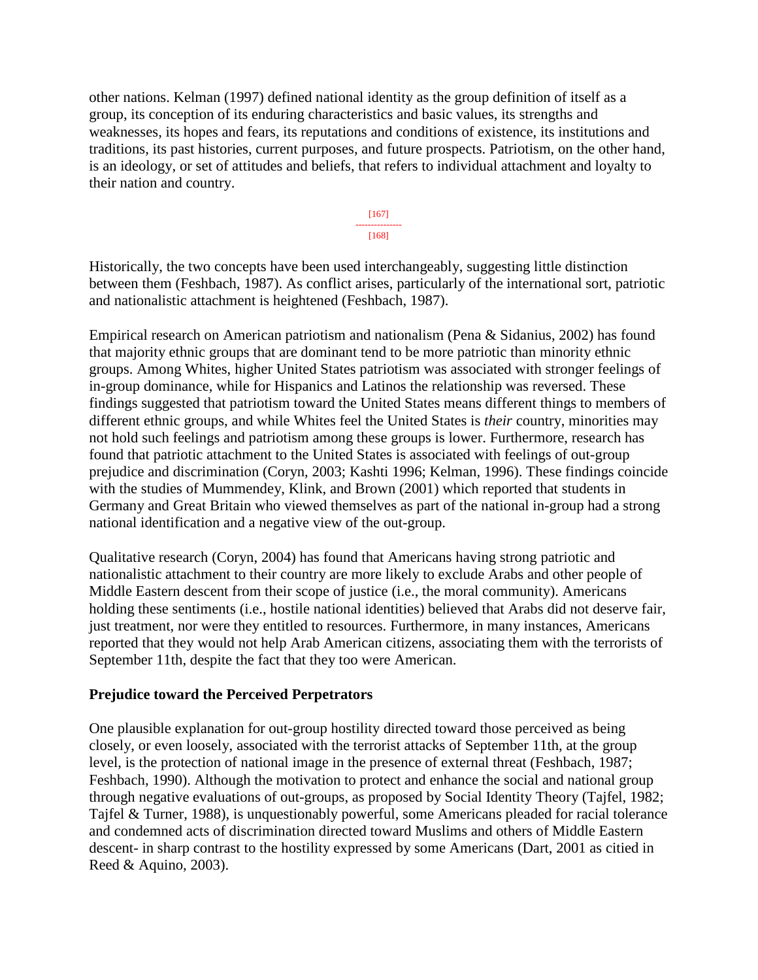other nations. Kelman (1997) defined national identity as the group definition of itself as a group, its conception of its enduring characteristics and basic values, its strengths and weaknesses, its hopes and fears, its reputations and conditions of existence, its institutions and traditions, its past histories, current purposes, and future prospects. Patriotism, on the other hand, is an ideology, or set of attitudes and beliefs, that refers to individual attachment and loyalty to their nation and country.

> [167] --------------- [168]

Historically, the two concepts have been used interchangeably, suggesting little distinction between them (Feshbach, 1987). As conflict arises, particularly of the international sort, patriotic and nationalistic attachment is heightened (Feshbach, 1987).

Empirical research on American patriotism and nationalism (Pena & Sidanius, 2002) has found that majority ethnic groups that are dominant tend to be more patriotic than minority ethnic groups. Among Whites, higher United States patriotism was associated with stronger feelings of in-group dominance, while for Hispanics and Latinos the relationship was reversed. These findings suggested that patriotism toward the United States means different things to members of different ethnic groups, and while Whites feel the United States is *their* country, minorities may not hold such feelings and patriotism among these groups is lower. Furthermore, research has found that patriotic attachment to the United States is associated with feelings of out-group prejudice and discrimination (Coryn, 2003; Kashti 1996; Kelman, 1996). These findings coincide with the studies of Mummendey, Klink, and Brown (2001) which reported that students in Germany and Great Britain who viewed themselves as part of the national in-group had a strong national identification and a negative view of the out-group.

Qualitative research (Coryn, 2004) has found that Americans having strong patriotic and nationalistic attachment to their country are more likely to exclude Arabs and other people of Middle Eastern descent from their scope of justice (i.e., the moral community). Americans holding these sentiments (i.e., hostile national identities) believed that Arabs did not deserve fair, just treatment, nor were they entitled to resources. Furthermore, in many instances, Americans reported that they would not help Arab American citizens, associating them with the terrorists of September 11th, despite the fact that they too were American.

#### **Prejudice toward the Perceived Perpetrators**

One plausible explanation for out-group hostility directed toward those perceived as being closely, or even loosely, associated with the terrorist attacks of September 11th, at the group level, is the protection of national image in the presence of external threat (Feshbach, 1987; Feshbach, 1990). Although the motivation to protect and enhance the social and national group through negative evaluations of out-groups, as proposed by Social Identity Theory (Tajfel, 1982; Tajfel & Turner, 1988), is unquestionably powerful, some Americans pleaded for racial tolerance and condemned acts of discrimination directed toward Muslims and others of Middle Eastern descent- in sharp contrast to the hostility expressed by some Americans (Dart, 2001 as citied in Reed & Aquino, 2003).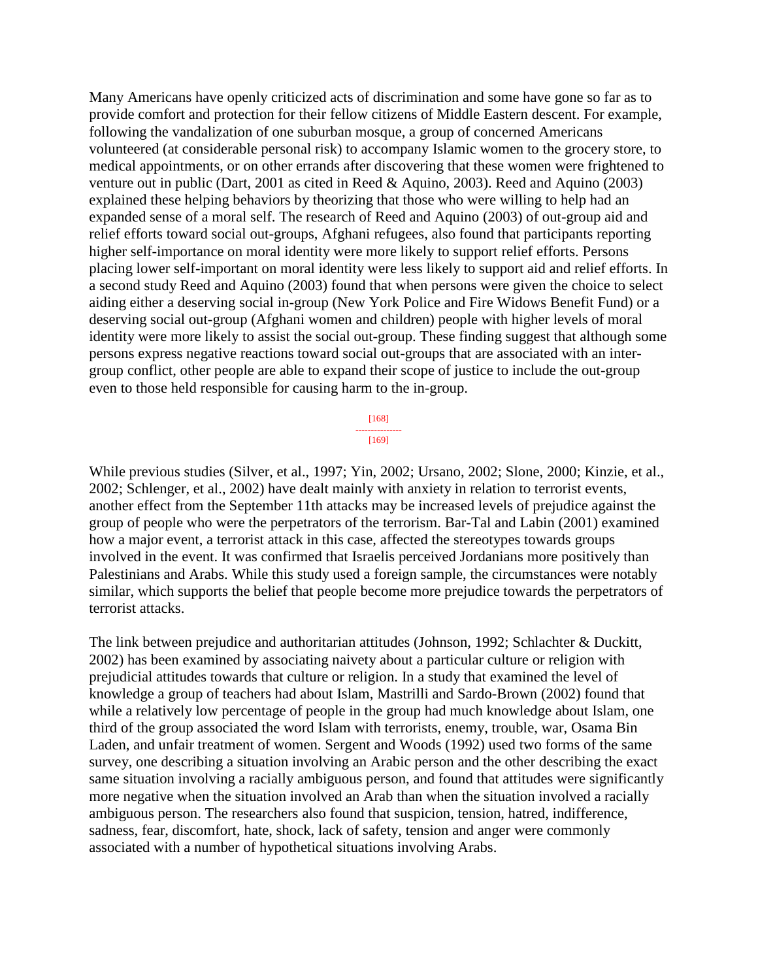Many Americans have openly criticized acts of discrimination and some have gone so far as to provide comfort and protection for their fellow citizens of Middle Eastern descent. For example, following the vandalization of one suburban mosque, a group of concerned Americans volunteered (at considerable personal risk) to accompany Islamic women to the grocery store, to medical appointments, or on other errands after discovering that these women were frightened to venture out in public (Dart, 2001 as cited in Reed & Aquino, 2003). Reed and Aquino (2003) explained these helping behaviors by theorizing that those who were willing to help had an expanded sense of a moral self. The research of Reed and Aquino (2003) of out-group aid and relief efforts toward social out-groups, Afghani refugees, also found that participants reporting higher self-importance on moral identity were more likely to support relief efforts. Persons placing lower self-important on moral identity were less likely to support aid and relief efforts. In a second study Reed and Aquino (2003) found that when persons were given the choice to select aiding either a deserving social in-group (New York Police and Fire Widows Benefit Fund) or a deserving social out-group (Afghani women and children) people with higher levels of moral identity were more likely to assist the social out-group. These finding suggest that although some persons express negative reactions toward social out-groups that are associated with an intergroup conflict, other people are able to expand their scope of justice to include the out-group even to those held responsible for causing harm to the in-group.

> [168] --------------- [169]

While previous studies (Silver, et al., 1997; Yin, 2002; Ursano, 2002; Slone, 2000; Kinzie, et al., 2002; Schlenger, et al., 2002) have dealt mainly with anxiety in relation to terrorist events, another effect from the September 11th attacks may be increased levels of prejudice against the group of people who were the perpetrators of the terrorism. Bar-Tal and Labin (2001) examined how a major event, a terrorist attack in this case, affected the stereotypes towards groups involved in the event. It was confirmed that Israelis perceived Jordanians more positively than Palestinians and Arabs. While this study used a foreign sample, the circumstances were notably similar, which supports the belief that people become more prejudice towards the perpetrators of terrorist attacks.

The link between prejudice and authoritarian attitudes (Johnson, 1992; Schlachter & Duckitt, 2002) has been examined by associating naivety about a particular culture or religion with prejudicial attitudes towards that culture or religion. In a study that examined the level of knowledge a group of teachers had about Islam, Mastrilli and Sardo-Brown (2002) found that while a relatively low percentage of people in the group had much knowledge about Islam, one third of the group associated the word Islam with terrorists, enemy, trouble, war, Osama Bin Laden, and unfair treatment of women. Sergent and Woods (1992) used two forms of the same survey, one describing a situation involving an Arabic person and the other describing the exact same situation involving a racially ambiguous person, and found that attitudes were significantly more negative when the situation involved an Arab than when the situation involved a racially ambiguous person. The researchers also found that suspicion, tension, hatred, indifference, sadness, fear, discomfort, hate, shock, lack of safety, tension and anger were commonly associated with a number of hypothetical situations involving Arabs.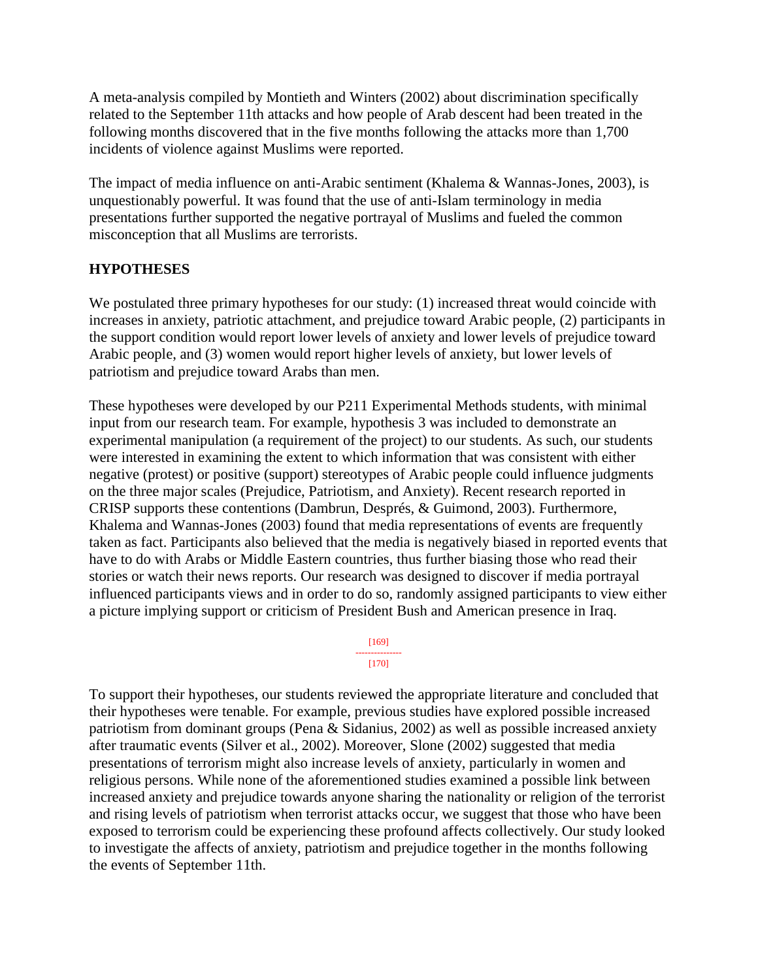A meta-analysis compiled by Montieth and Winters (2002) about discrimination specifically related to the September 11th attacks and how people of Arab descent had been treated in the following months discovered that in the five months following the attacks more than 1,700 incidents of violence against Muslims were reported.

The impact of media influence on anti-Arabic sentiment (Khalema & Wannas-Jones, 2003), is unquestionably powerful. It was found that the use of anti-Islam terminology in media presentations further supported the negative portrayal of Muslims and fueled the common misconception that all Muslims are terrorists.

#### **HYPOTHESES**

We postulated three primary hypotheses for our study: (1) increased threat would coincide with increases in anxiety, patriotic attachment, and prejudice toward Arabic people, (2) participants in the support condition would report lower levels of anxiety and lower levels of prejudice toward Arabic people, and (3) women would report higher levels of anxiety, but lower levels of patriotism and prejudice toward Arabs than men.

These hypotheses were developed by our P211 Experimental Methods students, with minimal input from our research team. For example, hypothesis 3 was included to demonstrate an experimental manipulation (a requirement of the project) to our students. As such, our students were interested in examining the extent to which information that was consistent with either negative (protest) or positive (support) stereotypes of Arabic people could influence judgments on the three major scales (Prejudice, Patriotism, and Anxiety). Recent research reported in CRISP supports these contentions (Dambrun, Després, & Guimond, 2003). Furthermore, Khalema and Wannas-Jones (2003) found that media representations of events are frequently taken as fact. Participants also believed that the media is negatively biased in reported events that have to do with Arabs or Middle Eastern countries, thus further biasing those who read their stories or watch their news reports. Our research was designed to discover if media portrayal influenced participants views and in order to do so, randomly assigned participants to view either a picture implying support or criticism of President Bush and American presence in Iraq.

> [169] --------------- [170]

To support their hypotheses, our students reviewed the appropriate literature and concluded that their hypotheses were tenable. For example, previous studies have explored possible increased patriotism from dominant groups (Pena & Sidanius, 2002) as well as possible increased anxiety after traumatic events (Silver et al., 2002). Moreover, Slone (2002) suggested that media presentations of terrorism might also increase levels of anxiety, particularly in women and religious persons. While none of the aforementioned studies examined a possible link between increased anxiety and prejudice towards anyone sharing the nationality or religion of the terrorist and rising levels of patriotism when terrorist attacks occur, we suggest that those who have been exposed to terrorism could be experiencing these profound affects collectively. Our study looked to investigate the affects of anxiety, patriotism and prejudice together in the months following the events of September 11th.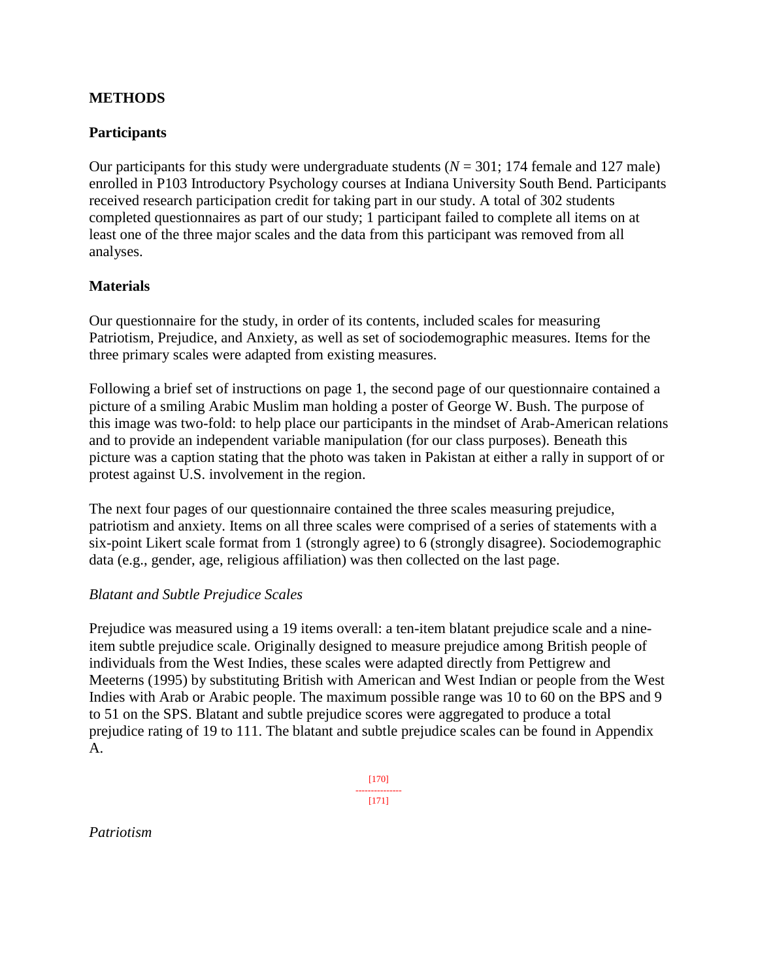### **METHODS**

#### **Participants**

Our participants for this study were undergraduate students  $(N = 301; 174$  female and 127 male) enrolled in P103 Introductory Psychology courses at Indiana University South Bend. Participants received research participation credit for taking part in our study. A total of 302 students completed questionnaires as part of our study; 1 participant failed to complete all items on at least one of the three major scales and the data from this participant was removed from all analyses.

#### **Materials**

Our questionnaire for the study, in order of its contents, included scales for measuring Patriotism, Prejudice, and Anxiety, as well as set of sociodemographic measures. Items for the three primary scales were adapted from existing measures.

Following a brief set of instructions on page 1, the second page of our questionnaire contained a picture of a smiling Arabic Muslim man holding a poster of George W. Bush. The purpose of this image was two-fold: to help place our participants in the mindset of Arab-American relations and to provide an independent variable manipulation (for our class purposes). Beneath this picture was a caption stating that the photo was taken in Pakistan at either a rally in support of or protest against U.S. involvement in the region.

The next four pages of our questionnaire contained the three scales measuring prejudice, patriotism and anxiety. Items on all three scales were comprised of a series of statements with a six-point Likert scale format from 1 (strongly agree) to 6 (strongly disagree). Sociodemographic data (e.g., gender, age, religious affiliation) was then collected on the last page.

#### *Blatant and Subtle Prejudice Scales*

Prejudice was measured using a 19 items overall: a ten-item blatant prejudice scale and a nineitem subtle prejudice scale. Originally designed to measure prejudice among British people of individuals from the West Indies, these scales were adapted directly from Pettigrew and Meeterns (1995) by substituting British with American and West Indian or people from the West Indies with Arab or Arabic people. The maximum possible range was 10 to 60 on the BPS and 9 to 51 on the SPS. Blatant and subtle prejudice scores were aggregated to produce a total prejudice rating of 19 to 111. The blatant and subtle prejudice scales can be found in Appendix A.

> [170] --------------- [171]

*Patriotism*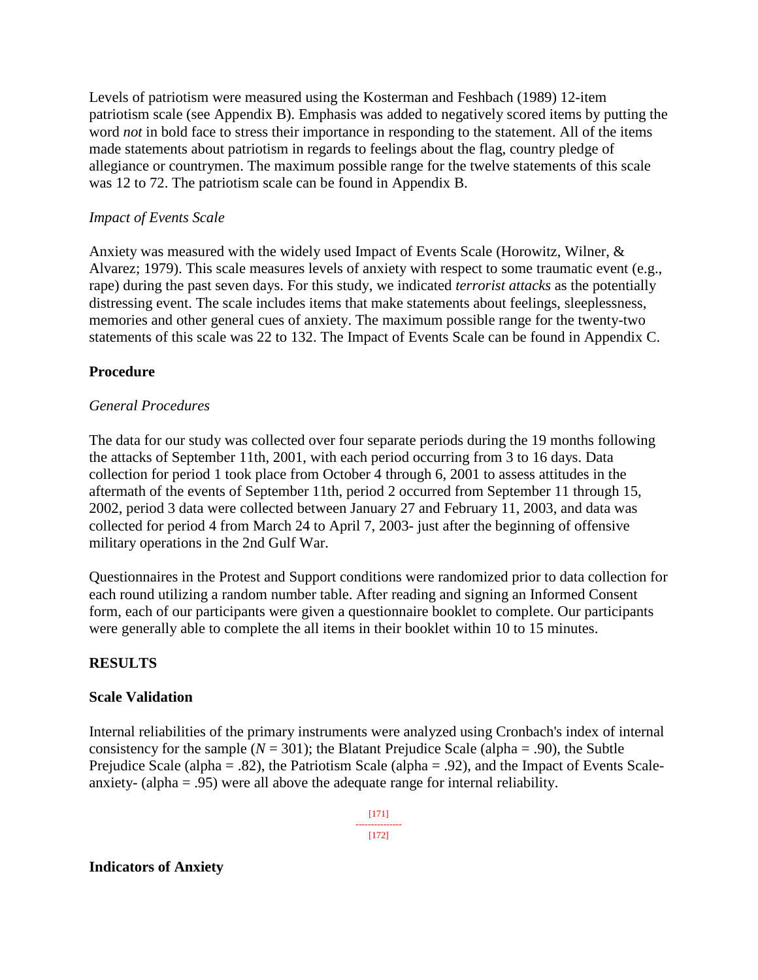Levels of patriotism were measured using the Kosterman and Feshbach (1989) 12-item patriotism scale (see Appendix B). Emphasis was added to negatively scored items by putting the word *not* in bold face to stress their importance in responding to the statement. All of the items made statements about patriotism in regards to feelings about the flag, country pledge of allegiance or countrymen. The maximum possible range for the twelve statements of this scale was 12 to 72. The patriotism scale can be found in Appendix B.

#### *Impact of Events Scale*

Anxiety was measured with the widely used Impact of Events Scale (Horowitz, Wilner, & Alvarez; 1979). This scale measures levels of anxiety with respect to some traumatic event (e.g., rape) during the past seven days. For this study, we indicated *terrorist attacks* as the potentially distressing event. The scale includes items that make statements about feelings, sleeplessness, memories and other general cues of anxiety. The maximum possible range for the twenty-two statements of this scale was 22 to 132. The Impact of Events Scale can be found in Appendix C.

#### **Procedure**

#### *General Procedures*

The data for our study was collected over four separate periods during the 19 months following the attacks of September 11th, 2001, with each period occurring from 3 to 16 days. Data collection for period 1 took place from October 4 through 6, 2001 to assess attitudes in the aftermath of the events of September 11th, period 2 occurred from September 11 through 15, 2002, period 3 data were collected between January 27 and February 11, 2003, and data was collected for period 4 from March 24 to April 7, 2003- just after the beginning of offensive military operations in the 2nd Gulf War.

Questionnaires in the Protest and Support conditions were randomized prior to data collection for each round utilizing a random number table. After reading and signing an Informed Consent form, each of our participants were given a questionnaire booklet to complete. Our participants were generally able to complete the all items in their booklet within 10 to 15 minutes.

### **RESULTS**

#### **Scale Validation**

Internal reliabilities of the primary instruments were analyzed using Cronbach's index of internal consistency for the sample  $(N = 301)$ ; the Blatant Prejudice Scale (alpha = .90), the Subtle Prejudice Scale (alpha = .82), the Patriotism Scale (alpha = .92), and the Impact of Events Scaleanxiety- (alpha = .95) were all above the adequate range for internal reliability.

#### [171] ---------------

[172]

#### **Indicators of Anxiety**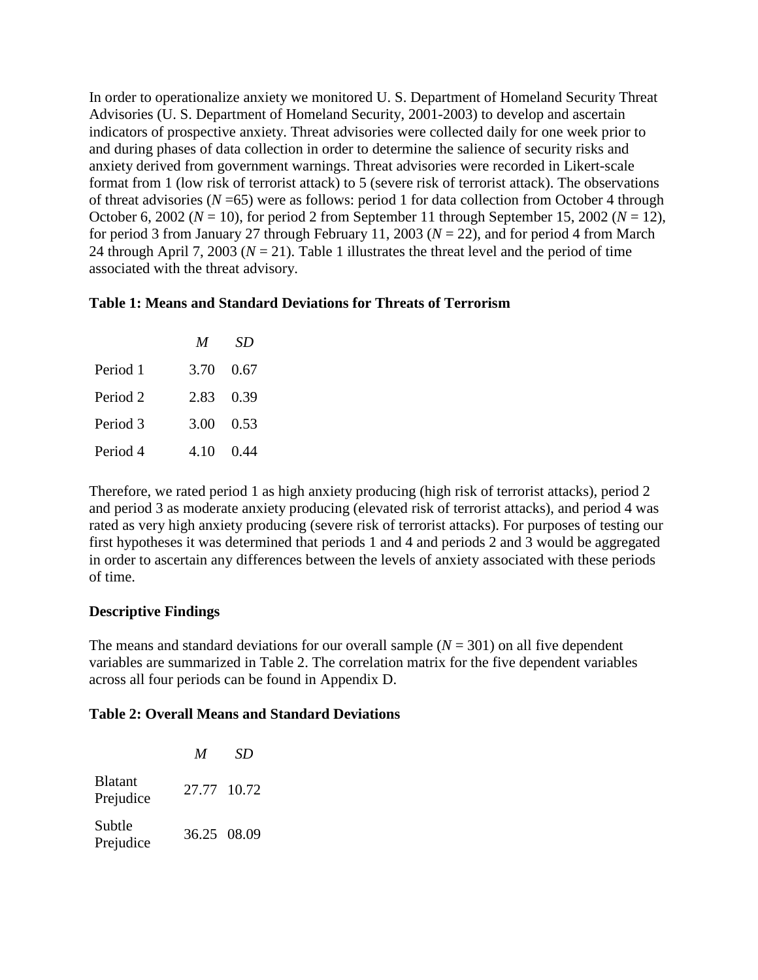In order to operationalize anxiety we monitored U. S. Department of Homeland Security Threat Advisories (U. S. Department of Homeland Security, 2001-2003) to develop and ascertain indicators of prospective anxiety. Threat advisories were collected daily for one week prior to and during phases of data collection in order to determine the salience of security risks and anxiety derived from government warnings. Threat advisories were recorded in Likert-scale format from 1 (low risk of terrorist attack) to 5 (severe risk of terrorist attack). The observations of threat advisories (*N* =65) were as follows: period 1 for data collection from October 4 through October 6, 2002 ( $N = 10$ ), for period 2 from September 11 through September 15, 2002 ( $N = 12$ ), for period 3 from January 27 through February 11, 2003 (*N* = 22), and for period 4 from March 24 through April 7, 2003 ( $N = 21$ ). Table 1 illustrates the threat level and the period of time associated with the threat advisory.

#### **Table 1: Means and Standard Deviations for Threats of Terrorism**

|          | M         | SD        |
|----------|-----------|-----------|
| Period 1 | 3.70 0.67 |           |
| Period 2 |           | 2.83 0.39 |
| Period 3 | 3.00 0.53 |           |
| Period 4 |           | 4.10 0.44 |

Therefore, we rated period 1 as high anxiety producing (high risk of terrorist attacks), period 2 and period 3 as moderate anxiety producing (elevated risk of terrorist attacks), and period 4 was rated as very high anxiety producing (severe risk of terrorist attacks). For purposes of testing our first hypotheses it was determined that periods 1 and 4 and periods 2 and 3 would be aggregated in order to ascertain any differences between the levels of anxiety associated with these periods of time.

### **Descriptive Findings**

The means and standard deviations for our overall sample  $(N = 301)$  on all five dependent variables are summarized in Table 2. The correlation matrix for the five dependent variables across all four periods can be found in Appendix D.

#### **Table 2: Overall Means and Standard Deviations**

|                             | M           | SD |
|-----------------------------|-------------|----|
| <b>Blatant</b><br>Prejudice | 27.77 10.72 |    |
| Subtle<br>Prejudice         | 36.25 08.09 |    |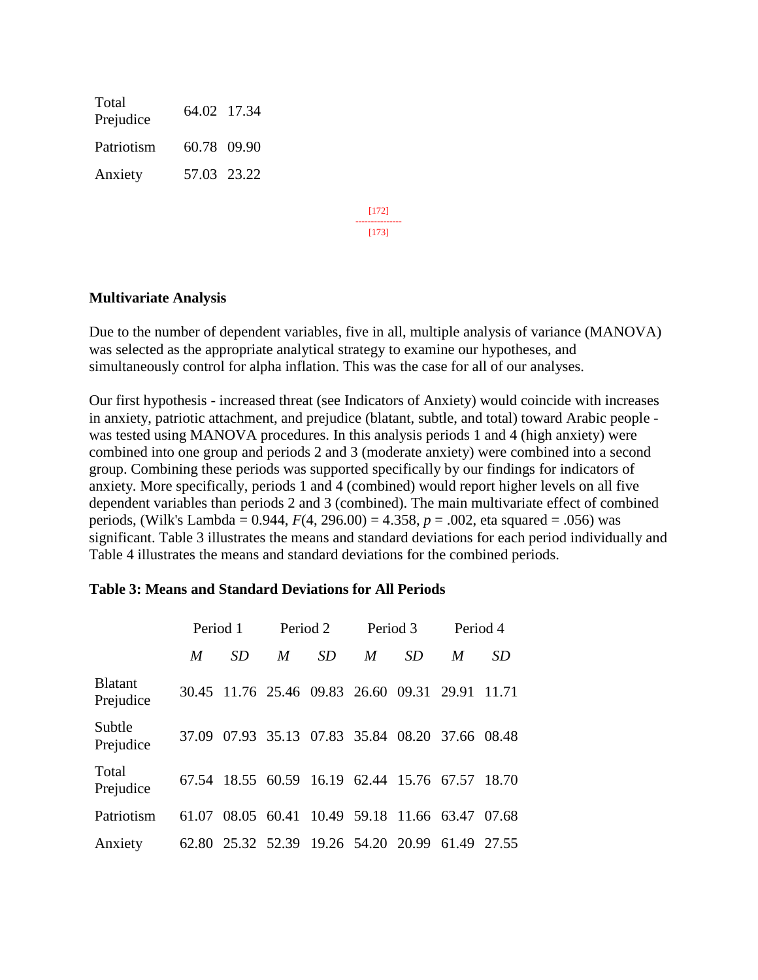Total Prejudice 64.02 17.34 Patriotism 60.78 09.90 Anxiety 57.03 23.22

> [172] --------------- [173]

#### **Multivariate Analysis**

Due to the number of dependent variables, five in all, multiple analysis of variance (MANOVA) was selected as the appropriate analytical strategy to examine our hypotheses, and simultaneously control for alpha inflation. This was the case for all of our analyses.

Our first hypothesis - increased threat (see Indicators of Anxiety) would coincide with increases in anxiety, patriotic attachment, and prejudice (blatant, subtle, and total) toward Arabic people was tested using MANOVA procedures. In this analysis periods 1 and 4 (high anxiety) were combined into one group and periods 2 and 3 (moderate anxiety) were combined into a second group. Combining these periods was supported specifically by our findings for indicators of anxiety. More specifically, periods 1 and 4 (combined) would report higher levels on all five dependent variables than periods 2 and 3 (combined). The main multivariate effect of combined periods, (Wilk's Lambda = 0.944, *F*(4, 296.00) = 4.358, *p* = .002, eta squared = .056) was significant. Table 3 illustrates the means and standard deviations for each period individually and Table 4 illustrates the means and standard deviations for the combined periods.

|                             |       | Period 1                                        | Period 2 |           | Period 3 |           | Period 4                      |           |
|-----------------------------|-------|-------------------------------------------------|----------|-----------|----------|-----------|-------------------------------|-----------|
|                             | M     | SD                                              | M        | <b>SD</b> | M        | <i>SD</i> | M                             | <b>SD</b> |
| <b>Blatant</b><br>Prejudice |       | 30.45 11.76 25.46 09.83 26.60 09.31             |          |           |          |           | 29.91 11.71                   |           |
| Subtle<br>Prejudice         |       | 37.09 07.93 35.13 07.83 35.84 08.20 37.66 08.48 |          |           |          |           |                               |           |
| Total<br>Prejudice          |       | 67.54 18.55 60.59 16.19 62.44 15.76 67.57 18.70 |          |           |          |           |                               |           |
| Patriotism                  | 61.07 | 08.05                                           | 60.41    |           |          |           | 10.49 59.18 11.66 63.47 07.68 |           |
| Anxiety                     |       | 62.80 25.32 52.39 19.26 54.20 20.99             |          |           |          |           | 61.49 27.55                   |           |

#### **Table 3: Means and Standard Deviations for All Periods**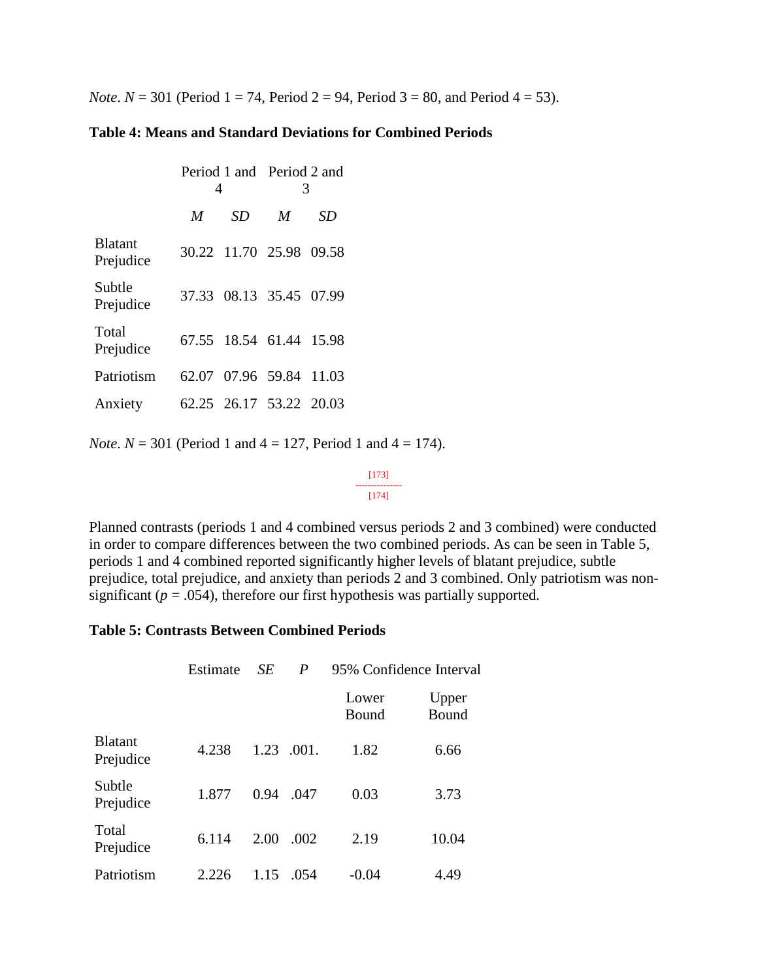*Note*.  $N = 301$  (Period 1 = 74, Period 2 = 94, Period 3 = 80, and Period 4 = 53).

#### **Table 4: Means and Standard Deviations for Combined Periods**

|                             | 4 |                         | Period 1 and Period 2 and<br>3 |    |  |
|-----------------------------|---|-------------------------|--------------------------------|----|--|
|                             | M | SD                      | M                              | SD |  |
| <b>Blatant</b><br>Prejudice |   | 30.22 11.70 25.98 09.58 |                                |    |  |
| Subtle<br>Prejudice         |   | 37.33 08.13 35.45 07.99 |                                |    |  |
| Total<br>Prejudice          |   | 67.55 18.54 61.44 15.98 |                                |    |  |
| Patriotism                  |   | 62.07 07.96 59.84 11.03 |                                |    |  |
| Anxiety                     |   | 62.25 26.17 53.22 20.03 |                                |    |  |

*Note*.  $N = 301$  (Period 1 and  $4 = 127$ , Period 1 and  $4 = 174$ ).

[173] --------------- [174]

Planned contrasts (periods 1 and 4 combined versus periods 2 and 3 combined) were conducted in order to compare differences between the two combined periods. As can be seen in Table 5, periods 1 and 4 combined reported significantly higher levels of blatant prejudice, subtle prejudice, total prejudice, and anxiety than periods 2 and 3 combined. Only patriotism was nonsignificant  $(p = .054)$ , therefore our first hypothesis was partially supported.

#### **Table 5: Contrasts Between Combined Periods**

|                             | Estimate | <b>SE</b> | P     |                | 95% Confidence Interval |
|-----------------------------|----------|-----------|-------|----------------|-------------------------|
|                             |          |           |       | Lower<br>Bound | Upper<br>Bound          |
| <b>Blatant</b><br>Prejudice | 4.238    | 1.23      | .001. | 1.82           | 6.66                    |
| Subtle<br>Prejudice         | 1.877    | 0.94      | .047  | 0.03           | 3.73                    |
| Total<br>Prejudice          | 6.114    | 2.00      | .002  | 2.19           | 10.04                   |
| Patriotism                  | 2.226    | 1.15      | .054  | $-0.04$        | 4.49                    |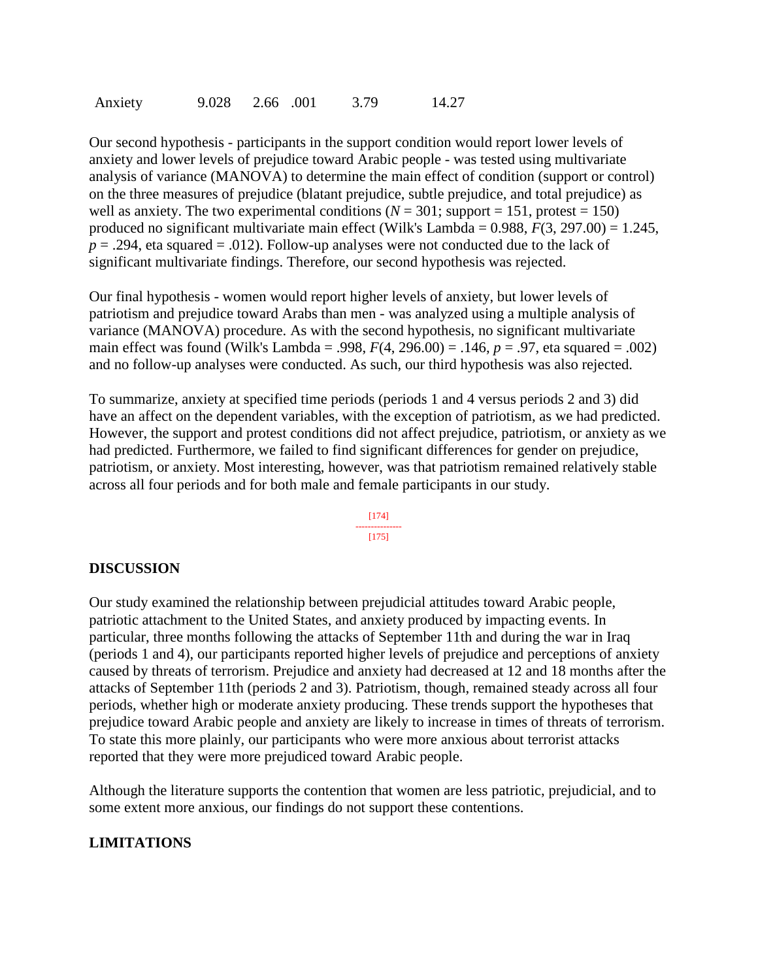| 2.66 .001 | Anxiety | 9.028 |  |  | 3.79 | 14.27 |
|-----------|---------|-------|--|--|------|-------|
|-----------|---------|-------|--|--|------|-------|

Our second hypothesis - participants in the support condition would report lower levels of anxiety and lower levels of prejudice toward Arabic people - was tested using multivariate analysis of variance (MANOVA) to determine the main effect of condition (support or control) on the three measures of prejudice (blatant prejudice, subtle prejudice, and total prejudice) as well as anxiety. The two experimental conditions ( $N = 301$ ; support = 151, protest = 150) produced no significant multivariate main effect (Wilk's Lambda = 0.988, *F*(3, 297.00) = 1.245,  $p = .294$ , eta squared = .012). Follow-up analyses were not conducted due to the lack of significant multivariate findings. Therefore, our second hypothesis was rejected.

Our final hypothesis - women would report higher levels of anxiety, but lower levels of patriotism and prejudice toward Arabs than men - was analyzed using a multiple analysis of variance (MANOVA) procedure. As with the second hypothesis, no significant multivariate main effect was found (Wilk's Lambda = .998,  $F(4, 296.00) = .146$ ,  $p = .97$ , eta squared = .002) and no follow-up analyses were conducted. As such, our third hypothesis was also rejected.

To summarize, anxiety at specified time periods (periods 1 and 4 versus periods 2 and 3) did have an affect on the dependent variables, with the exception of patriotism, as we had predicted. However, the support and protest conditions did not affect prejudice, patriotism, or anxiety as we had predicted. Furthermore, we failed to find significant differences for gender on prejudice, patriotism, or anxiety. Most interesting, however, was that patriotism remained relatively stable across all four periods and for both male and female participants in our study.

> [174] --------------- [175]

#### **DISCUSSION**

Our study examined the relationship between prejudicial attitudes toward Arabic people, patriotic attachment to the United States, and anxiety produced by impacting events. In particular, three months following the attacks of September 11th and during the war in Iraq (periods 1 and 4), our participants reported higher levels of prejudice and perceptions of anxiety caused by threats of terrorism. Prejudice and anxiety had decreased at 12 and 18 months after the attacks of September 11th (periods 2 and 3). Patriotism, though, remained steady across all four periods, whether high or moderate anxiety producing. These trends support the hypotheses that prejudice toward Arabic people and anxiety are likely to increase in times of threats of terrorism. To state this more plainly, our participants who were more anxious about terrorist attacks reported that they were more prejudiced toward Arabic people.

Although the literature supports the contention that women are less patriotic, prejudicial, and to some extent more anxious, our findings do not support these contentions.

#### **LIMITATIONS**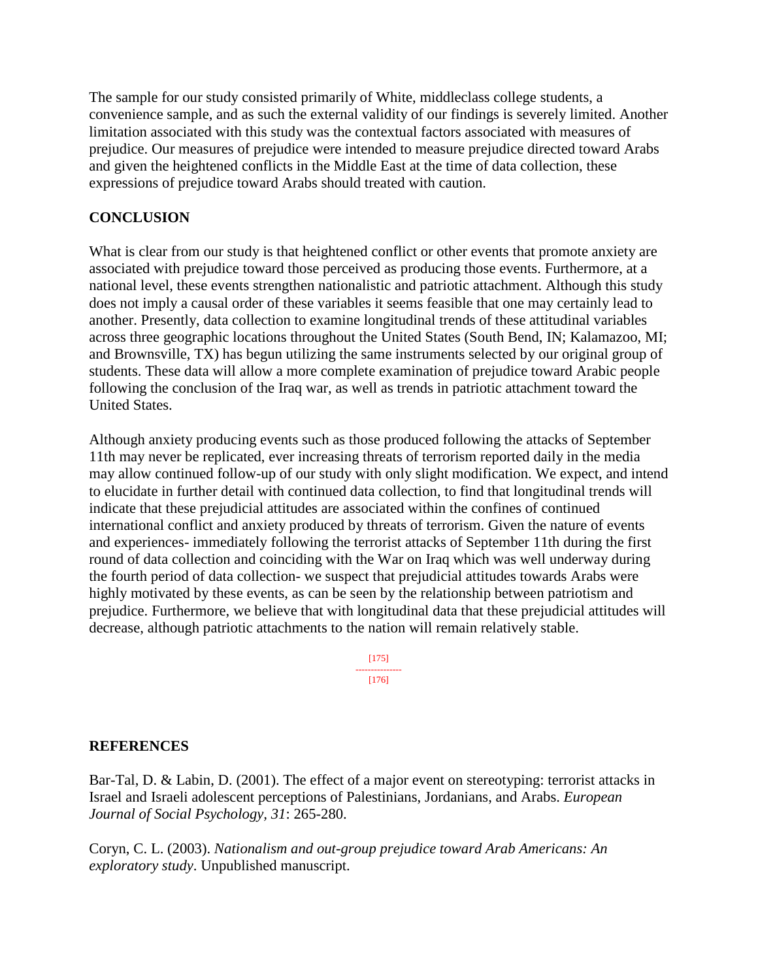The sample for our study consisted primarily of White, middleclass college students, a convenience sample, and as such the external validity of our findings is severely limited. Another limitation associated with this study was the contextual factors associated with measures of prejudice. Our measures of prejudice were intended to measure prejudice directed toward Arabs and given the heightened conflicts in the Middle East at the time of data collection, these expressions of prejudice toward Arabs should treated with caution.

### **CONCLUSION**

What is clear from our study is that heightened conflict or other events that promote anxiety are associated with prejudice toward those perceived as producing those events. Furthermore, at a national level, these events strengthen nationalistic and patriotic attachment. Although this study does not imply a causal order of these variables it seems feasible that one may certainly lead to another. Presently, data collection to examine longitudinal trends of these attitudinal variables across three geographic locations throughout the United States (South Bend, IN; Kalamazoo, MI; and Brownsville, TX) has begun utilizing the same instruments selected by our original group of students. These data will allow a more complete examination of prejudice toward Arabic people following the conclusion of the Iraq war, as well as trends in patriotic attachment toward the United States.

Although anxiety producing events such as those produced following the attacks of September 11th may never be replicated, ever increasing threats of terrorism reported daily in the media may allow continued follow-up of our study with only slight modification. We expect, and intend to elucidate in further detail with continued data collection, to find that longitudinal trends will indicate that these prejudicial attitudes are associated within the confines of continued international conflict and anxiety produced by threats of terrorism. Given the nature of events and experiences- immediately following the terrorist attacks of September 11th during the first round of data collection and coinciding with the War on Iraq which was well underway during the fourth period of data collection- we suspect that prejudicial attitudes towards Arabs were highly motivated by these events, as can be seen by the relationship between patriotism and prejudice. Furthermore, we believe that with longitudinal data that these prejudicial attitudes will decrease, although patriotic attachments to the nation will remain relatively stable.

> [175] --------------- [176]

### **REFERENCES**

Bar-Tal, D. & Labin, D. (2001). The effect of a major event on stereotyping: terrorist attacks in Israel and Israeli adolescent perceptions of Palestinians, Jordanians, and Arabs. *European Journal of Social Psychology, 31*: 265-280.

Coryn, C. L. (2003). *Nationalism and out-group prejudice toward Arab Americans: An exploratory study*. Unpublished manuscript.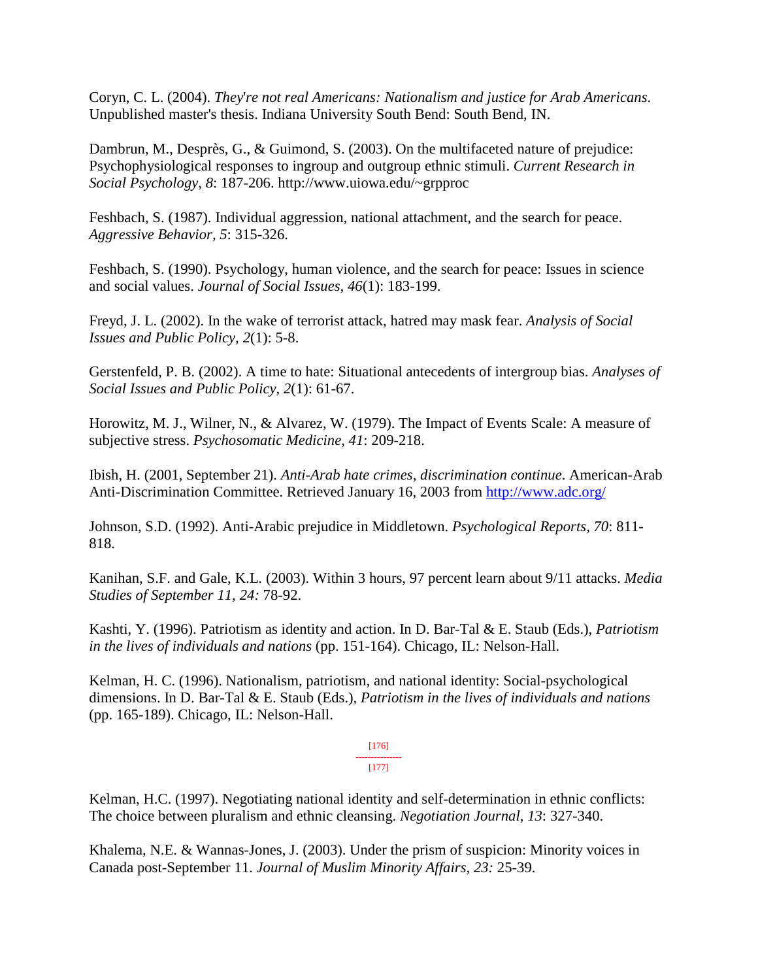Coryn, C. L. (2004). *They*'*re not real Americans: Nationalism and justice for Arab Americans*. Unpublished master's thesis. Indiana University South Bend: South Bend, IN.

Dambrun, M., Desprès, G., & Guimond, S. (2003). On the multifaceted nature of prejudice: Psychophysiological responses to ingroup and outgroup ethnic stimuli. *Current Research in Social Psychology, 8*: 187-206. http://www.uiowa.edu/~grpproc

Feshbach, S. (1987). Individual aggression, national attachment, and the search for peace. *Aggressive Behavior, 5*: 315-326.

Feshbach, S. (1990). Psychology, human violence, and the search for peace: Issues in science and social values. *Journal of Social Issues, 46*(1): 183-199.

Freyd, J. L. (2002). In the wake of terrorist attack, hatred may mask fear. *Analysis of Social Issues and Public Policy, 2*(1): 5-8.

Gerstenfeld, P. B. (2002). A time to hate: Situational antecedents of intergroup bias. *Analyses of Social Issues and Public Policy, 2*(1): 61-67.

Horowitz, M. J., Wilner, N., & Alvarez, W. (1979). The Impact of Events Scale: A measure of subjective stress. *Psychosomatic Medicine, 41*: 209-218.

Ibish, H. (2001, September 21). *Anti-Arab hate crimes, discrimination continue*. American-Arab Anti-Discrimination Committee. Retrieved January 16, 2003 from<http://www.adc.org/>

Johnson, S.D. (1992). Anti-Arabic prejudice in Middletown. *Psychological Reports, 70*: 811- 818.

Kanihan, S.F. and Gale, K.L. (2003). Within 3 hours, 97 percent learn about 9/11 attacks. *Media Studies of September 11, 24:* 78-92.

Kashti, Y. (1996). Patriotism as identity and action. In D. Bar-Tal & E. Staub (Eds.), *Patriotism in the lives of individuals and nations* (pp. 151-164). Chicago, IL: Nelson-Hall.

Kelman, H. C. (1996). Nationalism, patriotism, and national identity: Social-psychological dimensions. In D. Bar-Tal & E. Staub (Eds.), *Patriotism in the lives of individuals and nations* (pp. 165-189). Chicago, IL: Nelson-Hall.

> [176] --------------- [177]

Kelman, H.C. (1997). Negotiating national identity and self-determination in ethnic conflicts: The choice between pluralism and ethnic cleansing. *Negotiation Journal, 13*: 327-340.

Khalema, N.E. & Wannas-Jones, J. (2003). Under the prism of suspicion: Minority voices in Canada post-September 11. *Journal of Muslim Minority Affairs, 23:* 25-39.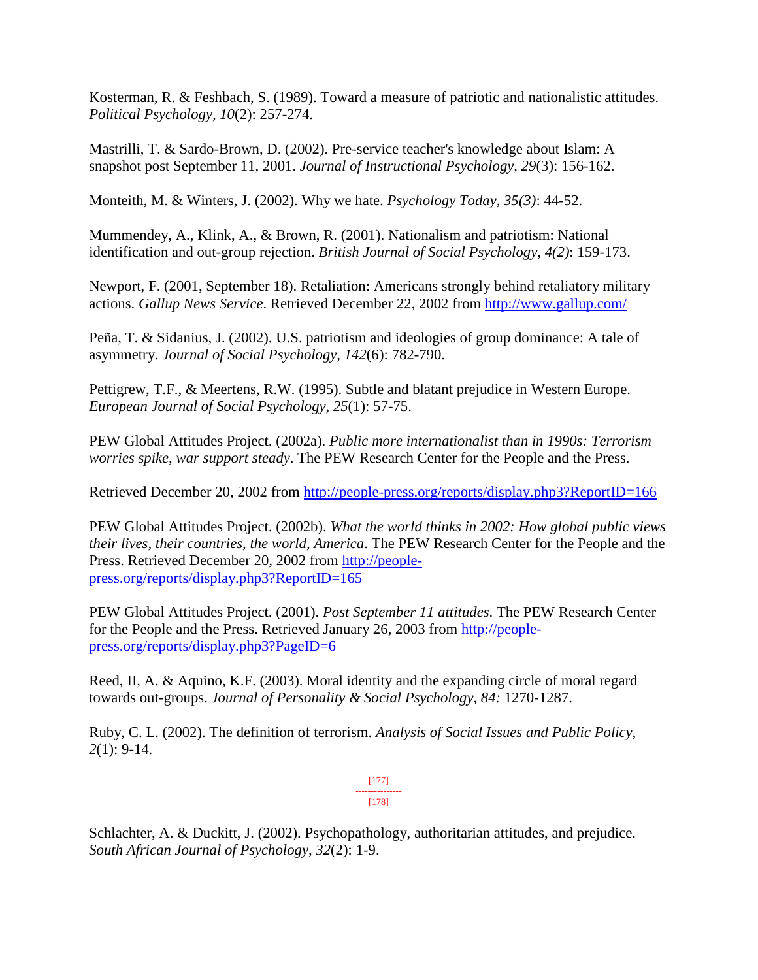Kosterman, R. & Feshbach, S. (1989). Toward a measure of patriotic and nationalistic attitudes. *Political Psychology, 10*(2): 257-274.

Mastrilli, T. & Sardo-Brown, D. (2002). Pre-service teacher's knowledge about Islam: A snapshot post September 11, 2001. *Journal of Instructional Psychology, 29*(3): 156-162.

Monteith, M. & Winters, J. (2002). Why we hate. *Psychology Today, 35(3)*: 44-52.

Mummendey, A., Klink, A., & Brown, R. (2001). Nationalism and patriotism: National identification and out-group rejection. *British Journal of Social Psychology*, *4(2)*: 159-173.

Newport, F. (2001, September 18). Retaliation: Americans strongly behind retaliatory military actions. *Gallup News Service*. Retrieved December 22, 2002 from<http://www.gallup.com/>

Peña, T. & Sidanius, J. (2002). U.S. patriotism and ideologies of group dominance: A tale of asymmetry. *Journal of Social Psychology, 142*(6): 782-790.

Pettigrew, T.F., & Meertens, R.W. (1995). Subtle and blatant prejudice in Western Europe. *European Journal of Social Psychology, 25*(1): 57-75.

PEW Global Attitudes Project. (2002a). *Public more internationalist than in 1990s: Terrorism worries spike, war support steady*. The PEW Research Center for the People and the Press.

Retrieved December 20, 2002 from<http://people-press.org/reports/display.php3?ReportID=166>

PEW Global Attitudes Project. (2002b). *What the world thinks in 2002: How global public views their lives, their countries, the world, America*. The PEW Research Center for the People and the Press. Retrieved December 20, 2002 from [http://people](http://people-press.org/reports/display.php3?ReportID=165)[press.org/reports/display.php3?ReportID=165](http://people-press.org/reports/display.php3?ReportID=165)

PEW Global Attitudes Project. (2001). *Post September 11 attitudes*. The PEW Research Center for the People and the Press. Retrieved January 26, 2003 from [http://people](http://people-press.org/reports/display.php3?PageID=6)[press.org/reports/display.php3?PageID=6](http://people-press.org/reports/display.php3?PageID=6)

Reed, II, A. & Aquino, K.F. (2003). Moral identity and the expanding circle of moral regard towards out-groups. *Journal of Personality & Social Psychology, 84:* 1270-1287.

Ruby, C. L. (2002). The definition of terrorism. *Analysis of Social Issues and Public Policy, 2*(1): 9-14.

> [177] --------------- [178]

Schlachter, A. & Duckitt, J. (2002). Psychopathology, authoritarian attitudes, and prejudice. *South African Journal of Psychology, 32*(2): 1-9.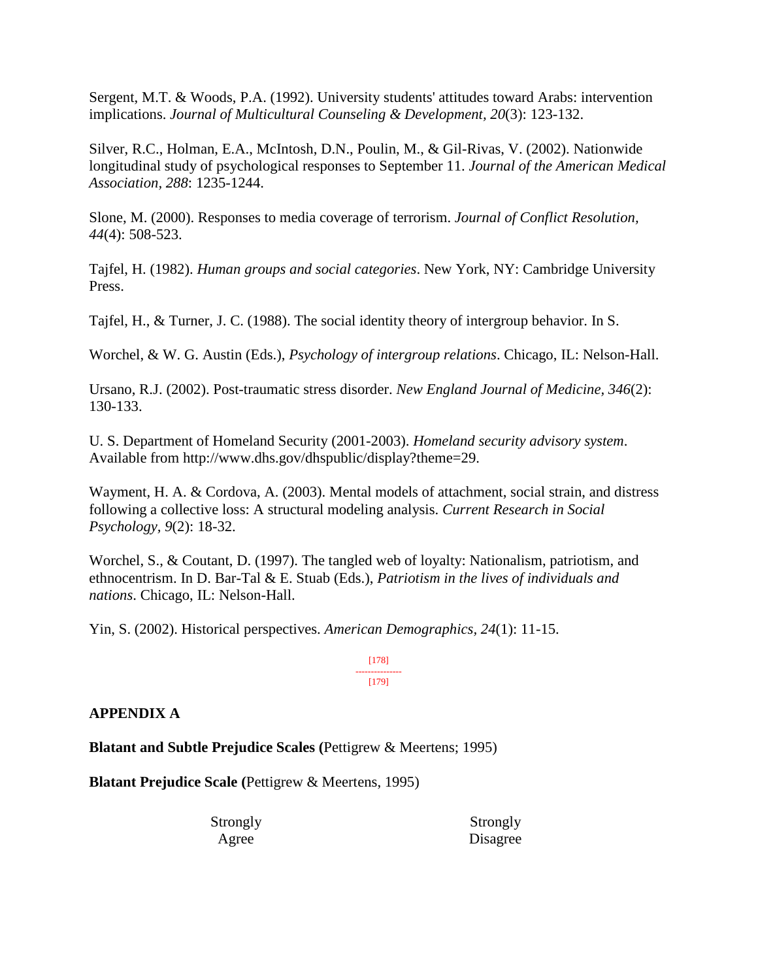Sergent, M.T. & Woods, P.A. (1992). University students' attitudes toward Arabs: intervention implications. *Journal of Multicultural Counseling & Development, 20*(3): 123-132.

Silver, R.C., Holman, E.A., McIntosh, D.N., Poulin, M., & Gil-Rivas, V. (2002). Nationwide longitudinal study of psychological responses to September 11. *Journal of the American Medical Association, 288*: 1235-1244.

Slone, M. (2000). Responses to media coverage of terrorism. *Journal of Conflict Resolution, 44*(4): 508-523.

Tajfel, H. (1982). *Human groups and social categories*. New York, NY: Cambridge University Press.

Tajfel, H., & Turner, J. C. (1988). The social identity theory of intergroup behavior. In S.

Worchel, & W. G. Austin (Eds.), *Psychology of intergroup relations*. Chicago, IL: Nelson-Hall.

Ursano, R.J. (2002). Post-traumatic stress disorder. *New England Journal of Medicine, 346*(2): 130-133.

U. S. Department of Homeland Security (2001-2003). *Homeland security advisory system*. Available from http://www.dhs.gov/dhspublic/display?theme=29.

Wayment, H. A. & Cordova, A. (2003). Mental models of attachment, social strain, and distress following a collective loss: A structural modeling analysis. *Current Research in Social Psychology, 9*(2): 18-32.

Worchel, S., & Coutant, D. (1997). The tangled web of loyalty: Nationalism, patriotism, and ethnocentrism. In D. Bar-Tal & E. Stuab (Eds.), *Patriotism in the lives of individuals and nations*. Chicago, IL: Nelson-Hall.

Yin, S. (2002). Historical perspectives. *American Demographics, 24*(1): 11-15.

[178] --------------- [179]

#### **APPENDIX A**

**Blatant and Subtle Prejudice Scales (**Pettigrew & Meertens; 1995)

**Blatant Prejudice Scale (**Pettigrew & Meertens, 1995)

Strongly Agree

Strongly Disagree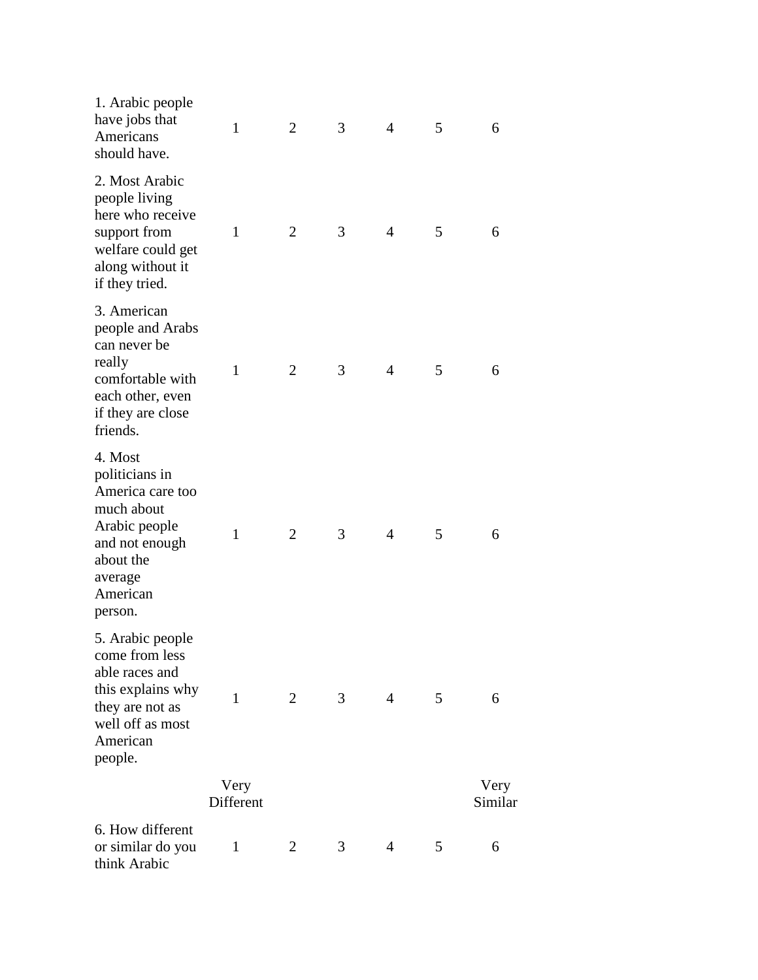| 1. Arabic people<br>have jobs that<br>Americans<br>should have.                                                                               | $\mathbf{1}$      | $\overline{2}$ | 3              | $\overline{4}$ | 5 | 6               |  |
|-----------------------------------------------------------------------------------------------------------------------------------------------|-------------------|----------------|----------------|----------------|---|-----------------|--|
| 2. Most Arabic<br>people living<br>here who receive<br>support from<br>welfare could get<br>along without it<br>if they tried.                | $\mathbf{1}$      | $\overline{2}$ | 3              | $\overline{4}$ | 5 | 6               |  |
| 3. American<br>people and Arabs<br>can never be<br>really<br>comfortable with<br>each other, even<br>if they are close<br>friends.            | $\mathbf{1}$      | $\overline{2}$ | 3              | $\overline{4}$ | 5 | 6               |  |
| 4. Most<br>politicians in<br>America care too<br>much about<br>Arabic people<br>and not enough<br>about the<br>average<br>American<br>person. | 1                 | $\overline{2}$ | 3              | $\overline{4}$ | 5 | 6               |  |
| 5. Arabic people<br>come from less<br>able races and<br>this explains why<br>they are not as<br>well off as most<br>American<br>people.       | $\mathbf{1}$      | 2              | 3 <sup>7</sup> | $\overline{4}$ | 5 | 6               |  |
|                                                                                                                                               | Very<br>Different |                |                |                |   | Very<br>Similar |  |
| 6. How different<br>or similar do you<br>think Arabic                                                                                         | $\mathbf{1}$      | 2              | 3              | $\overline{4}$ | 5 | 6               |  |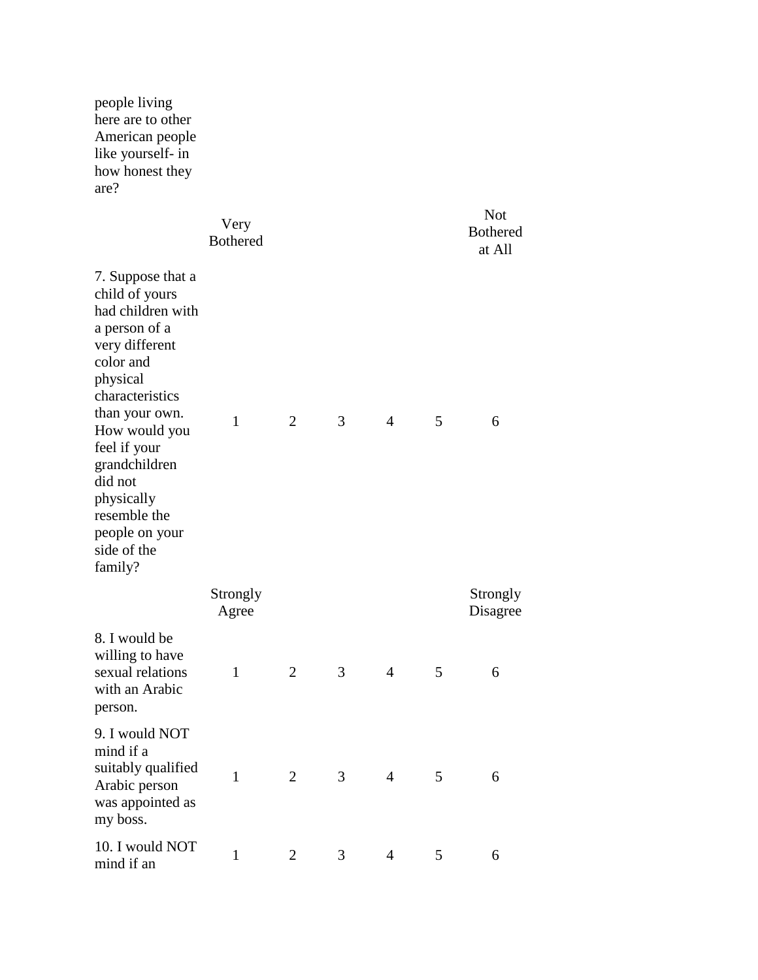people living here are to other American people like yourself- in how honest they are? Very Bothered Not Bothered at All 7. Suppose that a child of yours had children with a person of a very different color and physical characteristics than your own. How would you feel if your grandchildren did not physically resemble the people on your side of the family? 1 2 3 4 5 6 **Strongly** Agree Strongly Disagree 8. I would be willing to have sexual relations with an Arabic person. 1 2 3 4 5 6 9. I would NOT mind if a suitably qualified Arabic person was appointed as my boss. 1 2 3 4 5 6 10. I would NOT mind if an 1 2 3 4 5 6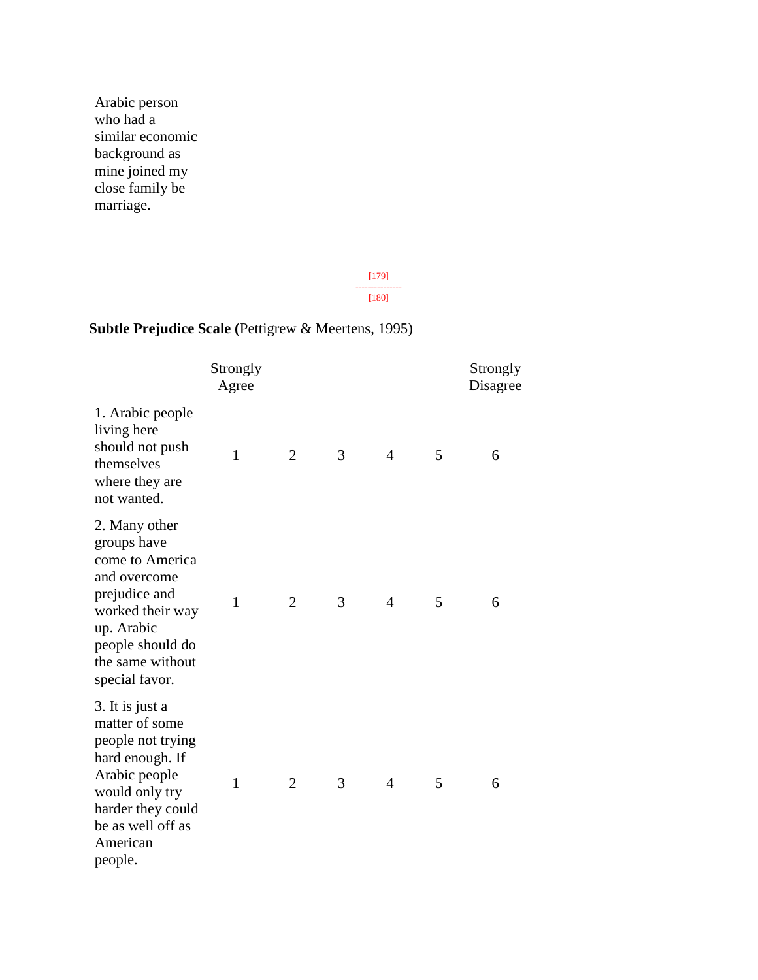Arabic person who had a similar economic background as mine joined my close family be marriage.

> [179] --------------- [180]

## **Subtle Prejudice Scale (**Pettigrew & Meertens, 1995)

|                                                                                                                                                                               | Strongly<br>Agree |                |   |                |   | Strongly<br>Disagree |
|-------------------------------------------------------------------------------------------------------------------------------------------------------------------------------|-------------------|----------------|---|----------------|---|----------------------|
| 1. Arabic people<br>living here<br>should not push<br>themselves<br>where they are<br>not wanted.                                                                             | $\mathbf{1}$      | $\overline{2}$ | 3 | $\overline{4}$ | 5 | 6                    |
| 2. Many other<br>groups have<br>come to America<br>and overcome<br>prejudice and<br>worked their way<br>up. Arabic<br>people should do<br>the same without<br>special favor.  | $\mathbf{1}$      | $\overline{2}$ | 3 | $\overline{4}$ | 5 | 6                    |
| 3. It is just a<br>matter of some<br>people not trying<br>hard enough. If<br>Arabic people<br>would only try<br>harder they could<br>be as well off as<br>American<br>people. | $\mathbf{1}$      | $\overline{2}$ | 3 | $\overline{4}$ | 5 | 6                    |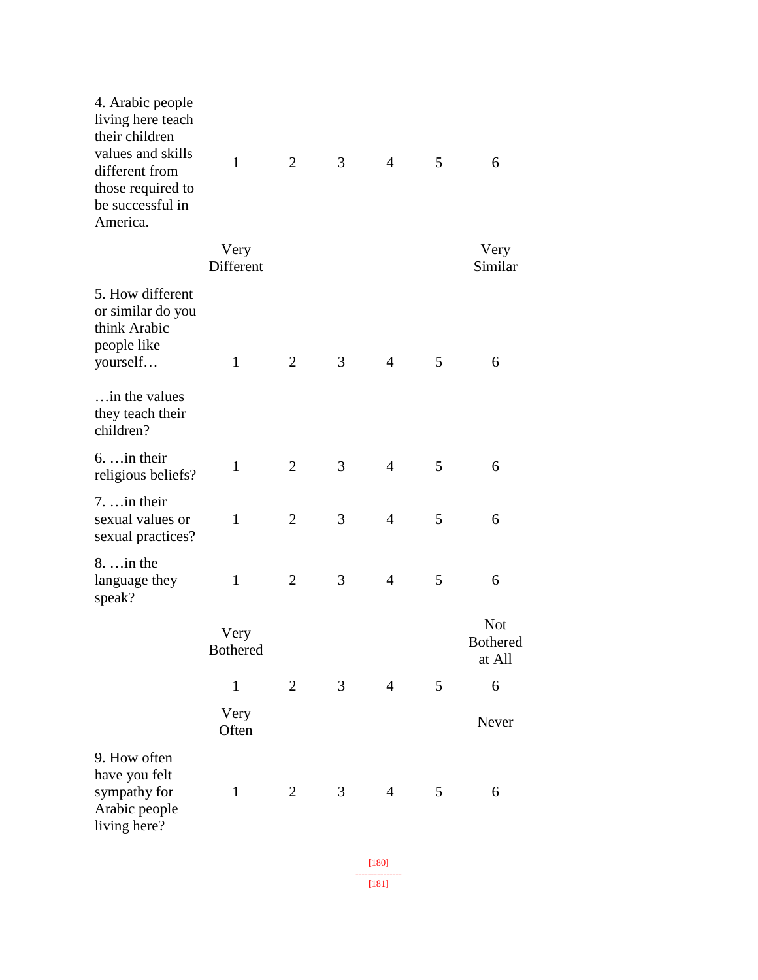| 4. Arabic people<br>living here teach<br>their children<br>values and skills<br>different from<br>those required to<br>be successful in<br>America. | $\mathbf{1}$            | $\overline{2}$ | 3 | $\overline{4}$ | 5 | 6                                       |
|-----------------------------------------------------------------------------------------------------------------------------------------------------|-------------------------|----------------|---|----------------|---|-----------------------------------------|
|                                                                                                                                                     | Very<br>Different       |                |   |                |   | Very<br>Similar                         |
| 5. How different<br>or similar do you<br>think Arabic<br>people like<br>yourself                                                                    | $\mathbf{1}$            | $\overline{2}$ | 3 | $\overline{4}$ | 5 | 6                                       |
| in the values<br>they teach their<br>children?                                                                                                      |                         |                |   |                |   |                                         |
| $6. \ldots$ in their<br>religious beliefs?                                                                                                          | $\mathbf{1}$            | $\overline{2}$ | 3 | $\overline{4}$ | 5 | 6                                       |
| $7. \ldots$ in their<br>sexual values or<br>sexual practices?                                                                                       | $\mathbf{1}$            | $\overline{2}$ | 3 | $\overline{4}$ | 5 | 6                                       |
| $8. \ldots$ in the<br>language they<br>speak?                                                                                                       | $\mathbf{1}$            | $\overline{2}$ | 3 | $\overline{4}$ | 5 | 6                                       |
|                                                                                                                                                     | Very<br><b>Bothered</b> |                |   |                |   | <b>Not</b><br><b>Bothered</b><br>at All |
|                                                                                                                                                     | $\mathbf{1}$            | $\mathfrak{2}$ | 3 | $\overline{4}$ | 5 | 6                                       |
|                                                                                                                                                     | Very<br>Often           |                |   |                |   | Never                                   |
| 9. How often<br>have you felt<br>sympathy for<br>Arabic people<br>living here?                                                                      | $\mathbf{1}$            | $\overline{2}$ | 3 | $\overline{4}$ | 5 | 6                                       |
|                                                                                                                                                     |                         |                |   |                |   |                                         |

[180] --------------- [181]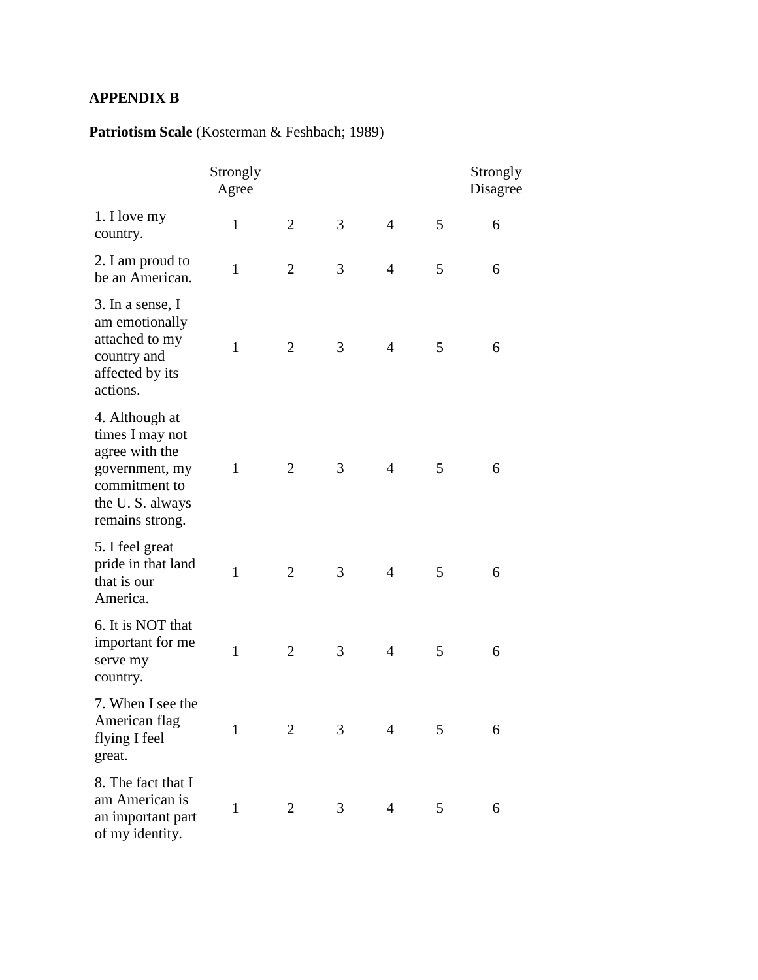### **APPENDIX B**

## **Patriotism Scale** (Kosterman & Feshbach; 1989)

|                                                                                                                              | Strongly<br>Agree |                |   |                |   | Strongly<br>Disagree |
|------------------------------------------------------------------------------------------------------------------------------|-------------------|----------------|---|----------------|---|----------------------|
| 1. I love my<br>country.                                                                                                     | $\mathbf{1}$      | $\overline{2}$ | 3 | $\overline{4}$ | 5 | 6                    |
| 2. I am proud to<br>be an American.                                                                                          | $\mathbf{1}$      | $\overline{2}$ | 3 | $\overline{4}$ | 5 | 6                    |
| 3. In a sense, I<br>am emotionally<br>attached to my<br>country and<br>affected by its<br>actions.                           | $\mathbf{1}$      | $\overline{2}$ | 3 | $\overline{4}$ | 5 | 6                    |
| 4. Although at<br>times I may not<br>agree with the<br>government, my<br>commitment to<br>the U.S. always<br>remains strong. | $\mathbf{1}$      | $\overline{2}$ | 3 | $\overline{4}$ | 5 | 6                    |
| 5. I feel great<br>pride in that land<br>that is our<br>America.                                                             | $\mathbf{1}$      | $\overline{2}$ | 3 | $\overline{4}$ | 5 | 6                    |
| 6. It is NOT that<br>important for me<br>serve my<br>country.                                                                | $\mathbf{1}$      | $\overline{2}$ | 3 | $\overline{4}$ | 5 | 6                    |
| 7. When I see the<br>American flag<br>flying I feel<br>great.                                                                | $\mathbf{1}$      | $\overline{2}$ | 3 | $\overline{4}$ | 5 | 6                    |
| 8. The fact that I<br>am American is<br>an important part<br>of my identity.                                                 | $\mathbf{1}$      | $\overline{2}$ | 3 | $\overline{4}$ | 5 | 6                    |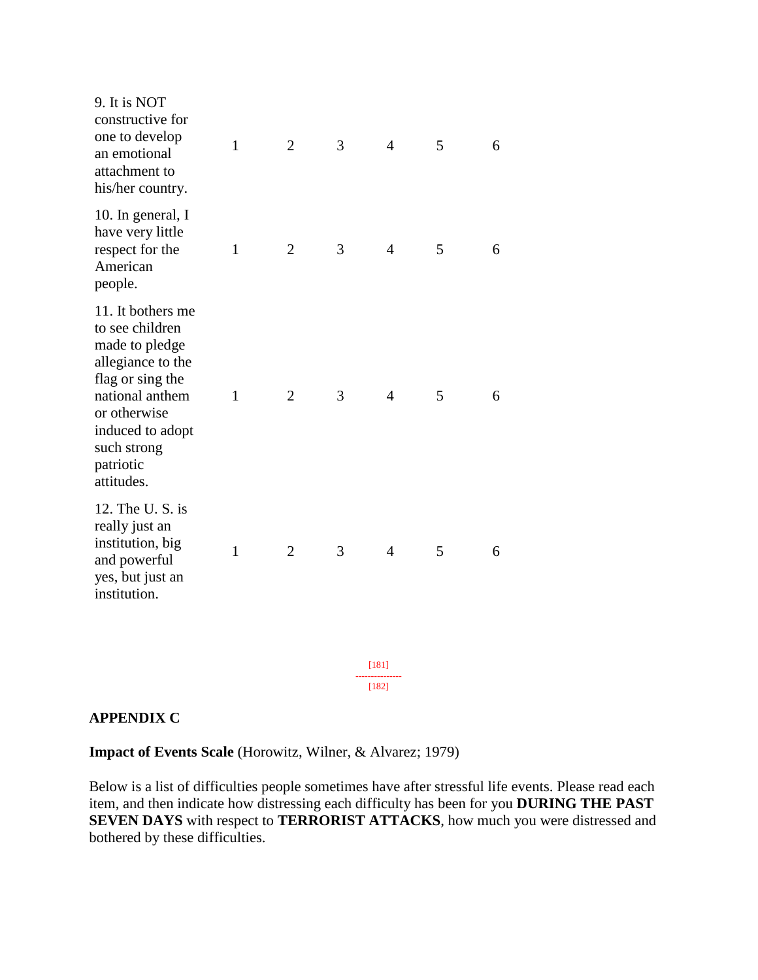| 9. It is NOT<br>constructive for<br>one to develop<br>an emotional<br>attachment to<br>his/her country.                                                                                          | $\mathbf{1}$ | $\overline{2}$ | 3 | $\overline{4}$ | 5 | 6 |
|--------------------------------------------------------------------------------------------------------------------------------------------------------------------------------------------------|--------------|----------------|---|----------------|---|---|
| 10. In general, I<br>have very little<br>respect for the<br>American<br>people.                                                                                                                  | $\mathbf{1}$ | $\overline{2}$ | 3 | $\overline{4}$ | 5 | 6 |
| 11. It bothers me<br>to see children<br>made to pledge<br>allegiance to the<br>flag or sing the<br>national anthem<br>or otherwise<br>induced to adopt<br>such strong<br>patriotic<br>attitudes. | $\mathbf{1}$ | $\overline{2}$ | 3 | $\overline{4}$ | 5 | 6 |
| 12. The U.S. is<br>really just an<br>institution, big<br>and powerful<br>yes, but just an<br>institution.                                                                                        | $\mathbf{1}$ | $\overline{2}$ | 3 | 4              | 5 | 6 |
|                                                                                                                                                                                                  |              |                |   |                |   |   |
|                                                                                                                                                                                                  |              |                |   | [181]<br>[182] |   |   |
|                                                                                                                                                                                                  |              |                |   |                |   |   |

### **APPENDIX C**

**Impact of Events Scale** (Horowitz, Wilner, & Alvarez; 1979)

Below is a list of difficulties people sometimes have after stressful life events. Please read each item, and then indicate how distressing each difficulty has been for you **DURING THE PAST SEVEN DAYS** with respect to **TERRORIST ATTACKS**, how much you were distressed and bothered by these difficulties.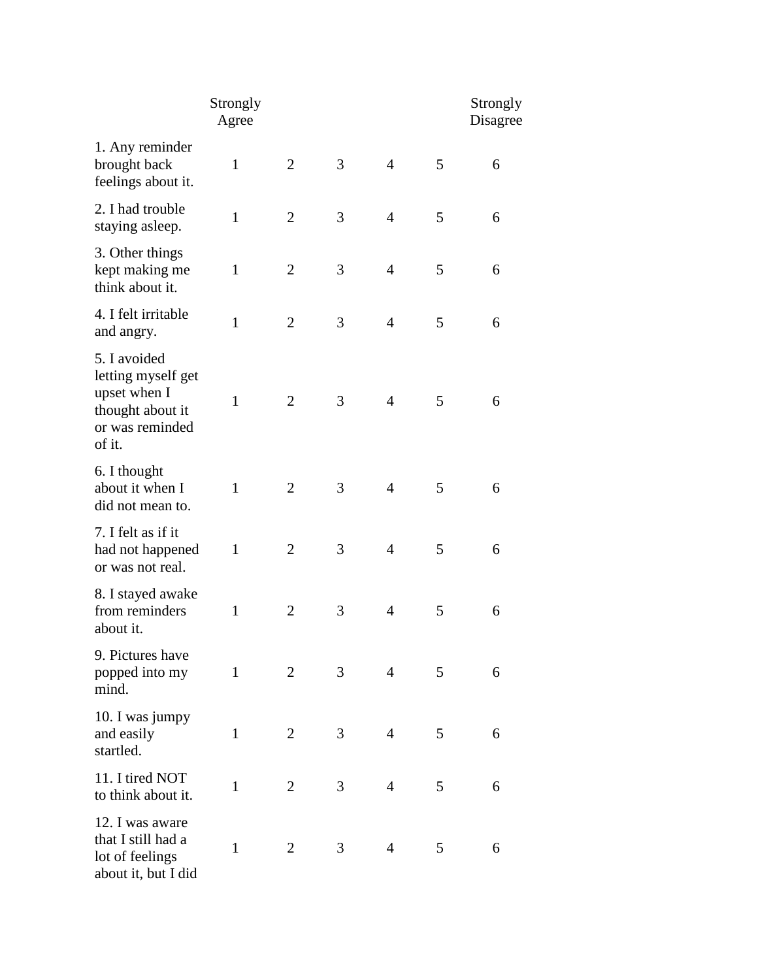|                                                                                                     | Strongly<br>Agree |                |   |                |   | Strongly<br>Disagree |
|-----------------------------------------------------------------------------------------------------|-------------------|----------------|---|----------------|---|----------------------|
| 1. Any reminder<br>brought back<br>feelings about it.                                               | $\mathbf{1}$      | $\overline{2}$ | 3 | $\overline{4}$ | 5 | 6                    |
| 2. I had trouble<br>staying asleep.                                                                 | $\mathbf{1}$      | $\overline{2}$ | 3 | $\overline{4}$ | 5 | 6                    |
| 3. Other things<br>kept making me<br>think about it.                                                | $\mathbf{1}$      | $\overline{2}$ | 3 | $\overline{4}$ | 5 | 6                    |
| 4. I felt irritable<br>and angry.                                                                   | $\mathbf{1}$      | $\overline{2}$ | 3 | $\overline{4}$ | 5 | 6                    |
| 5. I avoided<br>letting myself get<br>upset when I<br>thought about it<br>or was reminded<br>of it. | $\mathbf{1}$      | $\overline{2}$ | 3 | $\overline{4}$ | 5 | 6                    |
| 6. I thought<br>about it when I<br>did not mean to.                                                 | $\mathbf{1}$      | $\overline{2}$ | 3 | $\overline{4}$ | 5 | 6                    |
| 7. I felt as if it<br>had not happened<br>or was not real.                                          | $\mathbf{1}$      | $\overline{2}$ | 3 | $\overline{4}$ | 5 | 6                    |
| 8. I stayed awake<br>from reminders<br>about it.                                                    | $\mathbf{1}$      | $\overline{2}$ | 3 | $\overline{4}$ | 5 | 6                    |
| 9. Pictures have<br>popped into my<br>mind.                                                         | 1                 | $\overline{2}$ | 3 | $\overline{4}$ | 5 | 6                    |
| 10. I was jumpy<br>and easily<br>startled.                                                          | $\mathbf{1}$      | $\overline{2}$ | 3 | $\overline{4}$ | 5 | 6                    |
| 11. I tired NOT<br>to think about it.                                                               | $\mathbf{1}$      | $\overline{2}$ | 3 | $\overline{4}$ | 5 | 6                    |
| 12. I was aware<br>that I still had a<br>lot of feelings<br>about it, but I did                     | $\mathbf{1}$      | $\overline{2}$ | 3 | $\overline{4}$ | 5 | 6                    |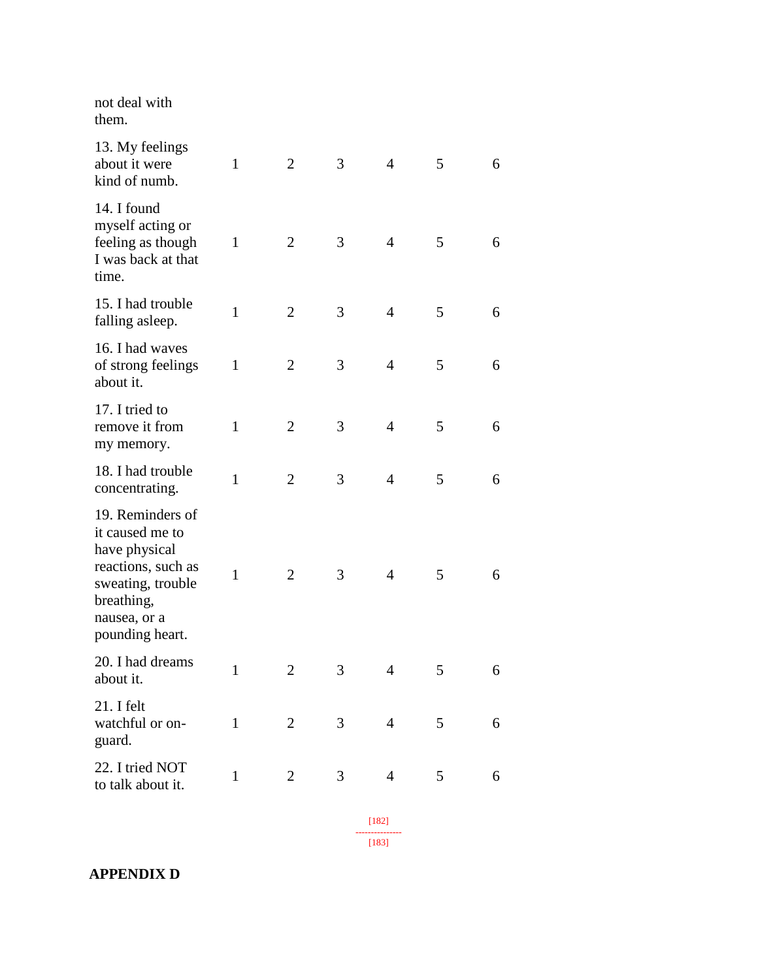| not deal with<br>them.                                                                                                                           |              |                |   |                |   |   |
|--------------------------------------------------------------------------------------------------------------------------------------------------|--------------|----------------|---|----------------|---|---|
| 13. My feelings<br>about it were<br>kind of numb.                                                                                                | 1            | $\overline{2}$ | 3 | $\overline{4}$ | 5 | 6 |
| 14. I found<br>myself acting or<br>feeling as though<br>I was back at that<br>time.                                                              | $\mathbf{1}$ | $\overline{2}$ | 3 | $\overline{4}$ | 5 | 6 |
| 15. I had trouble<br>falling asleep.                                                                                                             | $\mathbf{1}$ | $\overline{2}$ | 3 | $\overline{4}$ | 5 | 6 |
| 16. I had waves<br>of strong feelings<br>about it.                                                                                               | $\mathbf{1}$ | $\overline{2}$ | 3 | $\overline{4}$ | 5 | 6 |
| 17. I tried to<br>remove it from<br>my memory.                                                                                                   | $\mathbf{1}$ | $\overline{2}$ | 3 | $\overline{4}$ | 5 | 6 |
| 18. I had trouble<br>concentrating.                                                                                                              | $\mathbf{1}$ | $\overline{2}$ | 3 | $\overline{4}$ | 5 | 6 |
| 19. Reminders of<br>it caused me to<br>have physical<br>reactions, such as<br>sweating, trouble<br>breathing,<br>nausea, or a<br>pounding heart. | $\mathbf{1}$ | $\overline{2}$ | 3 | $\overline{4}$ | 5 | 6 |
| 20. I had dreams<br>about it.                                                                                                                    | $\mathbf{1}$ | $\overline{2}$ | 3 | $\overline{4}$ | 5 | 6 |
| 21. I felt<br>watchful or on-<br>guard.                                                                                                          | $\mathbf{1}$ | $\overline{2}$ | 3 | $\overline{4}$ | 5 | 6 |
| 22. I tried NOT<br>to talk about it.                                                                                                             | $\mathbf{1}$ | $\overline{2}$ | 3 | $\overline{4}$ | 5 | 6 |
|                                                                                                                                                  |              |                |   | $[182]$        |   |   |

--------------- [183]

**APPENDIX D**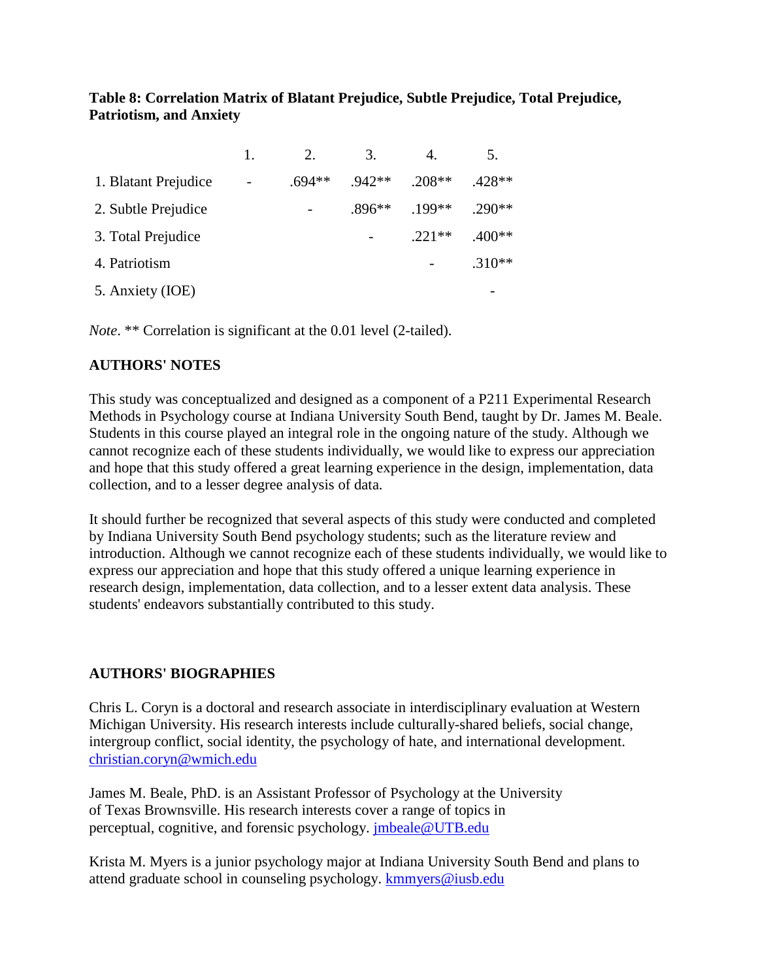### **Table 8: Correlation Matrix of Blatant Prejudice, Subtle Prejudice, Total Prejudice, Patriotism, and Anxiety**

|                      | 2.       | 3.       | 4.       | 5.       |
|----------------------|----------|----------|----------|----------|
| 1. Blatant Prejudice | $.694**$ | $.942**$ | $.208**$ | $.428**$ |
| 2. Subtle Prejudice  |          | $.896**$ | $.199**$ | $.290**$ |
| 3. Total Prejudice   |          |          | $.221**$ | $.400**$ |
| 4. Patriotism        |          |          |          | $.310**$ |
| 5. Anxiety (IOE)     |          |          |          |          |

*Note*. \*\* Correlation is significant at the 0.01 level (2-tailed).

### **AUTHORS' NOTES**

This study was conceptualized and designed as a component of a P211 Experimental Research Methods in Psychology course at Indiana University South Bend, taught by Dr. James M. Beale. Students in this course played an integral role in the ongoing nature of the study. Although we cannot recognize each of these students individually, we would like to express our appreciation and hope that this study offered a great learning experience in the design, implementation, data collection, and to a lesser degree analysis of data.

It should further be recognized that several aspects of this study were conducted and completed by Indiana University South Bend psychology students; such as the literature review and introduction. Although we cannot recognize each of these students individually, we would like to express our appreciation and hope that this study offered a unique learning experience in research design, implementation, data collection, and to a lesser extent data analysis. These students' endeavors substantially contributed to this study.

### **AUTHORS' BIOGRAPHIES**

Chris L. Coryn is a doctoral and research associate in interdisciplinary evaluation at Western Michigan University. His research interests include culturally-shared beliefs, social change, intergroup conflict, social identity, the psychology of hate, and international development. [christian.coryn@wmich.edu](mailto:christian.coryn@wmich.edu)

James M. Beale, PhD. is an Assistant Professor of Psychology at the University of Texas Brownsville. His research interests cover a range of topics in perceptual, cognitive, and forensic psychology. [jmbeale@UTB.edu](mailto:jmbeale@UTB.edu)

Krista M. Myers is a junior psychology major at Indiana University South Bend and plans to attend graduate school in counseling psychology. [kmmyers@iusb.edu](mailto:kmmyers@iusb.edu)